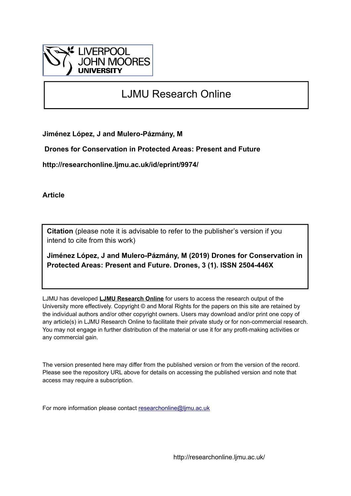

# LJMU Research Online

**Jiménez López, J and Mulero-Pázmány, M**

 **Drones for Conservation in Protected Areas: Present and Future**

**http://researchonline.ljmu.ac.uk/id/eprint/9974/**

**Article**

**Citation** (please note it is advisable to refer to the publisher's version if you intend to cite from this work)

**Jiménez López, J and Mulero-Pázmány, M (2019) Drones for Conservation in Protected Areas: Present and Future. Drones, 3 (1). ISSN 2504-446X** 

LJMU has developed **[LJMU Research Online](http://researchonline.ljmu.ac.uk/)** for users to access the research output of the University more effectively. Copyright © and Moral Rights for the papers on this site are retained by the individual authors and/or other copyright owners. Users may download and/or print one copy of any article(s) in LJMU Research Online to facilitate their private study or for non-commercial research. You may not engage in further distribution of the material or use it for any profit-making activities or any commercial gain.

The version presented here may differ from the published version or from the version of the record. Please see the repository URL above for details on accessing the published version and note that access may require a subscription.

For more information please contact [researchonline@ljmu.ac.uk](mailto:researchonline@ljmu.ac.uk)

http://researchonline.ljmu.ac.uk/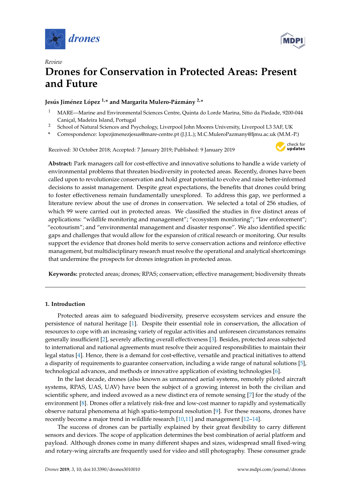

*Review*



# **Drones for Conservation in Protected Areas: Present and Future**

# **Jesús Jiménez López 1,\* and Margarita Mulero-Pázmány 2,\***

- <sup>1</sup> MARE—Marine and Environmental Sciences Centre, Quinta do Lorde Marina, Sítio da Piedade, 9200-044 Caniçal, Madeira Island, Portugal
- <sup>2</sup> School of Natural Sciences and Psychology, Liverpool John Moores University, Liverpool L3 3AF, UK
- **\*** Correspondence: lopezjimenezjesus@mare-centre.pt (J.J.L.); M.C.MuleroPazmany@ljmu.ac.uk (M.M.-P.)

Received: 30 October 2018; Accepted: 7 January 2019; Published: 9 January 2019



**Abstract:** Park managers call for cost-effective and innovative solutions to handle a wide variety of environmental problems that threaten biodiversity in protected areas. Recently, drones have been called upon to revolutionize conservation and hold great potential to evolve and raise better-informed decisions to assist management. Despite great expectations, the benefits that drones could bring to foster effectiveness remain fundamentally unexplored. To address this gap, we performed a literature review about the use of drones in conservation. We selected a total of 256 studies, of which 99 were carried out in protected areas. We classified the studies in five distinct areas of applications: "wildlife monitoring and management"; "ecosystem monitoring"; "law enforcement"; "ecotourism"; and "environmental management and disaster response". We also identified specific gaps and challenges that would allow for the expansion of critical research or monitoring. Our results support the evidence that drones hold merits to serve conservation actions and reinforce effective management, but multidisciplinary research must resolve the operational and analytical shortcomings that undermine the prospects for drones integration in protected areas.

**Keywords:** protected areas; drones; RPAS; conservation; effective management; biodiversity threats

# **1. Introduction**

Protected areas aim to safeguard biodiversity, preserve ecosystem services and ensure the persistence of natural heritage [\[1\]](#page-12-0). Despite their essential role in conservation, the allocation of resources to cope with an increasing variety of regular activities and unforeseen circumstances remains generally insufficient [\[2\]](#page-12-1), severely affecting overall effectiveness [\[3\]](#page-12-2). Besides, protected areas subjected to international and national agreements must resolve their acquired responsibilities to maintain their legal status [\[4\]](#page-12-3). Hence, there is a demand for cost-effective, versatile and practical initiatives to attend a disparity of requirements to guarantee conservation, including a wide range of natural solutions [\[5\]](#page-12-4), technological advances, and methods or innovative application of existing technologies [\[6\]](#page-12-5).

In the last decade, drones (also known as unmanned aerial systems, remotely piloted aircraft systems, RPAS, UAS, UAV) have been the subject of a growing interest in both the civilian and scientific sphere, and indeed avowed as a new distinct era of remote sensing [\[7\]](#page-12-6) for the study of the environment [\[8\]](#page-12-7). Drones offer a relatively risk-free and low-cost manner to rapidly and systematically observe natural phenomena at high spatio-temporal resolution [\[9\]](#page-12-8). For these reasons, drones have recently become a major trend in wildlife research [\[10,](#page-12-9)[11\]](#page-12-10) and management [\[12–](#page-12-11)[14\]](#page-12-12).

The success of drones can be partially explained by their great flexibility to carry different sensors and devices. The scope of application determines the best combination of aerial platform and payload. Although drones come in many different shapes and sizes, widespread small fixed-wing and rotary-wing aircrafts are frequently used for video and still photography. These consumer grade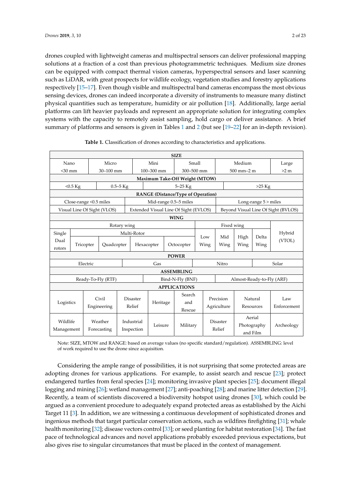drones coupled with lightweight cameras and multispectral sensors can deliver professional mapping drones coupled with lightweight cameras and multispectral sensors can deliver professional solutions at a fraction of a cost than previous photogrammetric techniques. Medium size drones can be equipped with compact thermal vision cameras, hyperspectral sensors and laser scanning<br> $\ddot{a}$ such as LiDAR, with great prospects for wildlife ecology, vegetation studies and forestry applications<br> respectively [\[15–](#page-12-13)[17\]](#page-13-0). Even though visible and multispectral band cameras encompass the most obvious sensing devices, drones can indeed incorporate a diversity of instruments to measure many distinct<br>measure, humidity or air pollution in the many distinct physical quantities such as temperature, humidity or air pollution [\[18\]](#page-13-1). Additionally, large aerial platforms can lift heavier payloads and represent an appropriate solution for integrating complex systems with the capacity to remotely assist sampling, hold cargo or deliver assistance. A brief summary of platforms and sensors is given in Tables [1](#page-2-0) and [2](#page-3-0) (but see [\[19](#page-13-2)[–22\]](#page-13-3) for an in-depth revision). mapping solutions at a fraction of a contraction of a contract techniques. Medium size that the procession of a contraction of a contraction of a contraction of a contraction of a contraction of a contraction of a contract

<span id="page-2-0"></span>

| <b>SIZE</b>                        |                                                     |             |                             |                 |                                               |          |            |                                           |                      |            |                                     |                |                          |            |
|------------------------------------|-----------------------------------------------------|-------------|-----------------------------|-----------------|-----------------------------------------------|----------|------------|-------------------------------------------|----------------------|------------|-------------------------------------|----------------|--------------------------|------------|
| Micro<br>Nano                      |                                                     |             | Mini                        |                 | Small                                         |          |            | Medium                                    |                      | Large      |                                     |                |                          |            |
| $<$ 30 mm<br>30-100 mm             |                                                     |             | 100-300 mm                  |                 |                                               |          | 300-500 mm |                                           |                      | 500 mm-2 m |                                     | >2 m           |                          |            |
|                                    |                                                     |             |                             |                 |                                               |          |            | Maximum Take-Off Weight (MTOW)            |                      |            |                                     |                |                          |            |
| $0.5 - 5$ Kg<br>$< 0.5 \text{ Kg}$ |                                                     |             |                             | $5-25$ Kg       |                                               |          |            | $>25$ Kg                                  |                      |            |                                     |                |                          |            |
|                                    |                                                     |             |                             |                 |                                               |          |            | <b>RANGE</b> (Distance/Type of Operation) |                      |            |                                     |                |                          |            |
|                                    | Close-range < 0.5 miles                             |             |                             |                 | Mid-range 0.5-5 miles                         |          |            |                                           | Long-range 5 > miles |            |                                     |                |                          |            |
|                                    |                                                     |             | Visual Line Of Sight (VLOS) |                 |                                               |          |            | Extended Visual Line Of Sight (EVLOS)     |                      |            | Beyond Visual Line Of Sight (BVLOS) |                |                          |            |
|                                    |                                                     |             |                             |                 |                                               |          |            | <b>WING</b>                               |                      |            |                                     |                |                          |            |
|                                    |                                                     |             |                             | Rotary wing     |                                               |          |            |                                           | Fixed wing           |            |                                     |                |                          |            |
| Single                             |                                                     |             |                             |                 | Multi-Rotor                                   |          |            | Low                                       |                      |            | Mid                                 | High           | Delta                    | Hybrid     |
| Dual                               | Tricopter<br>Quadcopter<br>Hexacopter<br>Octocopter |             |                             |                 | Wing                                          | Wing     | Wing       | Wing                                      | (VTOL)               |            |                                     |                |                          |            |
| rotors                             |                                                     |             |                             |                 |                                               |          |            |                                           |                      |            |                                     |                |                          |            |
|                                    |                                                     |             |                             |                 |                                               |          |            | <b>POWER</b>                              |                      |            |                                     |                |                          |            |
| Electric                           |                                                     |             |                             | Gas             |                                               |          |            | Nitro<br>Solar                            |                      |            |                                     |                |                          |            |
|                                    | <b>ASSEMBLING</b>                                   |             |                             |                 |                                               |          |            |                                           |                      |            |                                     |                |                          |            |
| Ready-To-Fly (RTF)                 |                                                     |             |                             |                 | Bind-N-Fly (BNF)<br>Almost-Ready-to-Fly (ARF) |          |            |                                           |                      |            |                                     |                |                          |            |
| <b>APPLICATIONS</b>                |                                                     |             |                             |                 |                                               |          |            |                                           |                      |            |                                     |                |                          |            |
|                                    | Civil                                               |             |                             | <b>Disaster</b> |                                               |          | Search     |                                           |                      |            |                                     | Natural<br>Law |                          |            |
| Logistics                          |                                                     |             |                             |                 | Relief                                        | Heritage |            | and                                       |                      |            | Precision                           |                |                          |            |
|                                    | Engineering                                         |             |                             |                 |                                               |          |            | Rescue                                    |                      |            | Agriculture                         |                | Enforcement<br>Resources |            |
|                                    |                                                     |             |                             |                 | Industrial                                    |          |            |                                           |                      |            | Disaster                            |                | Aerial                   |            |
| Wildlife                           |                                                     |             | Weather                     |                 |                                               | Leisure  |            | Military                                  |                      |            |                                     |                | Photography              | Archeology |
| Management                         |                                                     | Forecasting |                             |                 | Inspection                                    |          |            |                                           |                      | Relief     |                                     | and Film       |                          |            |

|  |  | Table 1. Classification of drones according to characteristics and applications. |
|--|--|----------------------------------------------------------------------------------|
|  |  |                                                                                  |

of work required to use the drone since acquisition. Note: SIZE, MTOW and RANGE: based on average values (no specific standard/regulation). ASSEMBLING: level

Extracting the differenties of possibilities, it is not surprising that some protected them are adopting drones for various applications. For example, to assist search and rescue [\[23\]](#page-13-4); protect endangered turtles from feral species [\[24\]](#page-13-5); monitoring invasive plant species [\[25\]](#page-13-6); document illegal **Shadingered turned from ferm species** [21], includeing invasive plant species [25]; decument inegation is logging and mining [\[26\]](#page-13-7); wetland management [\[27\]](#page-13-8); anti-poaching [\[28\]](#page-13-9); and marine litter detection [\[29\]](#page-13-10). ingenious methods that target particular conservation actions, such as wildfires firefighting [\[31\]](#page-13-12); whale health monitoring [\[32\]](#page-13-13); disease vectors control [\[33\]](#page-13-14); or seed planting for habitat restoration [\[34\]](#page-13-15). The fast Recently, a team of scientists discovered a biodiversity hotspot using drones [\[30\]](#page-13-11), which could be argued as a convenient procedure to adequately expand protected areas as established by the Aichi Target 11 [\[3\]](#page-12-2). In addition, we are witnessing a continuous development of sophisticated drones and pace of technological advances and novel applications probably exceeded previous expectations, but  $\frac{1}{2}$  singular circumstances that must be  $\mathbf{h}$ Medium 0.5–1kg also gives rise to singular circumstances that must be placed in the context of management. Considering the ample range of possibilities, it is not surprising that some protected areas are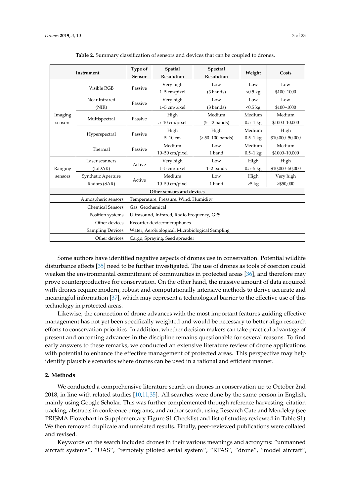<span id="page-3-0"></span>

|                    | Instrument.                        | Type of<br>Sensor                               | Spatial<br>Resolution       | Spectral<br>Resolution    | Weight                    | Costs                     |  |  |
|--------------------|------------------------------------|-------------------------------------------------|-----------------------------|---------------------------|---------------------------|---------------------------|--|--|
|                    | Visible RGB                        | Passive                                         | Very high<br>$1-5$ cm/pixel | Low<br>(3 bands)          | Low<br>$< 0.5$ kg         | Low<br>\$100-1000         |  |  |
|                    | Near Infrared<br>(NIR)             | Passive                                         | Very high<br>$1-5$ cm/pixel | Low<br>(3 bands)          | Low<br>$< 0.5 \text{ kg}$ | Low<br>\$100-1000         |  |  |
| Imaging<br>sensors | Multispectral                      | Passive                                         | High<br>5-10 cm/pixel       | Medium<br>$(5-12$ bands)  | Medium<br>$0.5 - 1$ kg    | Medium<br>\$1000-10,000   |  |  |
|                    | Hyperspectral                      | Passive                                         | High<br>$5-10$ cm           | High<br>$(>50-100$ bands) | Medium<br>$0.5 - 1$ kg    | High<br>\$10,000-50,000   |  |  |
|                    | Thermal                            | Passive                                         | Medium<br>$10-50$ cm/pixel  | Low<br>1 band             | Medium<br>$0.5 - 1$ kg    | Medium<br>\$1000-10,000   |  |  |
| Ranging            | Laser scanners<br>(LiDAR)          | Active                                          | Very high<br>$1-5$ cm/pixel | Low<br>1-2 bands          | High<br>$0.5 - 5$ kg      | High<br>\$10,000-50,000   |  |  |
| sensors            | Synthetic Aperture<br>Radars (SAR) | Active                                          | Medium<br>10-50 cm/pixel    | Low<br>1 band             | High<br>$>5$ kg           | Very high<br>$>$ \$50,000 |  |  |
|                    | Other sensors and devices          |                                                 |                             |                           |                           |                           |  |  |
|                    | Atmospheric sensors                | Temperature, Pressure, Wind, Humidity           |                             |                           |                           |                           |  |  |
|                    | <b>Chemical Sensors</b>            | Gas. Geochemical                                |                             |                           |                           |                           |  |  |
|                    | Position systems                   | Ultrasound, Infrared, Radio Frequency, GPS      |                             |                           |                           |                           |  |  |
|                    | Other devices                      | Recorder device/microphones                     |                             |                           |                           |                           |  |  |
|                    | Sampling Devices                   | Water, Aerobiological, Microbiological Sampling |                             |                           |                           |                           |  |  |
|                    | Other devices                      | Cargo, Spraying, Seed spreader                  |                             |                           |                           |                           |  |  |

**Table 2.** Summary classification of sensors and devices that can be coupled to drones. **Table 2.** Summary classification of sensors and devices that can be coupled to drones.

Considering the ample range of possibilities, it is not surprising that some protected areas are Some authors have identified negative aspects of drones use in conservation. Potential wildlife disturbance effects [\[35\]](#page-13-16) need to be further investigated. The use of drones as tools of coercion could weaken the environmental commitment of communities in protected areas [\[36\]](#page-13-17), and therefore may prove counterproductive for conservation. On the other hand, the massive amount of data acquired with drones require modern, robust and computationally intensive methods to derive accurate and meaningful information [\[37\]](#page-14-0), which may represent a technological barrier to the effective use of this technology in protected areas.

Likewise, the connection of drone advances with the most important features guiding effective management has not yet been specifically weighted and would be necessary to better align research efforts to conservation priorities. In addition, whether decision makers can take practical advantage of present and oncoming advances in the discipline remains questionable for several reasons. To find early answers to these remarks, we conducted an extensive literature review of drone applications with potential to enhance the effective management of protected areas. This perspective may help identify plausible scenarios where drones can be used in a rational and efficient manner.

#### prove counterproductive for conservation. On the other hand, the massive amount of data acquired  $w_{\text{refl}}$ **2. Methods**

We conducted a comprehensive literature search on drones in conservation up to October 2nd 2018, in line with related studies  $[10,11,35]$  $[10,11,35]$  $[10,11,35]$ . All searches were done by the same person in English, mainly using Google Scholar. This was further complemented through reference harvesting, citation tracking, abstracts in conference programs, and author search, using Research Gate and Mendeley (see PRISMA Flowchart in Supplementary Figure S1 Checklist and list of studies reviewed in Table S1). We then removed duplicate and unrelated results. Finally, peer-reviewed publications were collated extend and these remarks, we consider the matter remarks, we consider the state of drone applications of drone applications of drone applications of drone applications of drone applications of drone applications of drone a and revised.

Keywords on the search included drones in their various meanings and acronyms: "unmanned aircraft systems", "UAS", "remotely piloted aerial system", "RPAS", "drone", "model aircraft",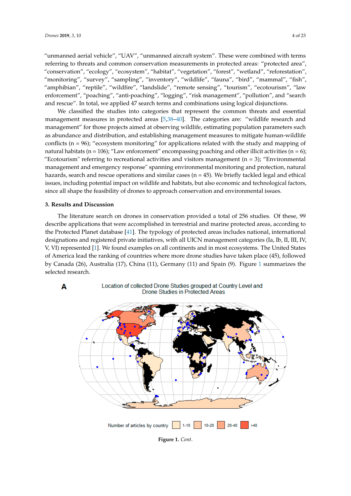"unmanned aerial vehicle", "UAV", "unmanned aircraft system". These were combined with terms *Drones* **2018**, *2*, x FOR PEER REVIEW 4 of 24 referring to threats and common conservation measurements in protected areas: "protected area", "conservation", "ecology", "ecosystem", "habitat", "vegetation", "forest", "wetland", "reforestation", "monitoring", "survey", "sampling", "inventory", "wildlife", "fauna", "bird", "mammal", "fish", "amphibian", "reptile", "wildfire", "landslide", "remote sensing", "tourism", "ecotourism", "law enforcement", "poaching", "anti-poaching", "logging", "risk management", "pollution", and "search and rescue". In total, we applied 47 search terms and combinations using logical disjunctions. ervation", "ecology", "ecosystem", "habitat", "vegetation", "forest", "wetland", "reforestation",<br>itoring", "survey", "sampling", "inventory", "wildlife", "fauna", "bird", "mammal", "fish",<br>hibian", "reptile", "wildfire",

We classified the studies into categories that represent the common threats and essential management measures in protected areas [\[5](#page-12-4),38-[40\]](#page-14-2). The categories are: "wildlife research and management" for those projects aimed at observing wildlife, estimating population parameters such as abundance and distribution, and establishing management measures to mitigate human-wildlife conflicts ( $n = 96$ ); "ecosystem monitoring" for applications related with the study and mapping of natural habitats (n = 106); "Law enforcement" encompassing poaching and other illicit activities (n = 6);  $\frac{1}{n}$  referring to recreational activities and visitors management (n = 3); "Environmental" enterprise (n=6); "Environmental" management and emergency response" spanning environmental monitoring and protection, natural management and emergency response" spanning environmental monitoring and protection, natural hazards, search and rescue operations and similar cases (n = 45). We briefly tackled legal and ethical hazards, search and rescue operations and similar cases (n=45). We briefly tackled legal and ethical issues, including potential impact on wildlife and habitats, but also economic and technological factors, issues, including potential impact on wildlife and habitats, but also economic and technological since all shape the feasibility of drones to approach conservation and environmental issues.  $\frac{1}{2}$  is referring to recreational activities and visitors management (n=3); Environmental

# **3. Results and Discussion 3. Results and Discussion**

A

The literature search on drones in conservation provided a total of 256 studies. Of these, 99 The literature search on drones in conservation provided a total of 256 studies. Of these, 99 describe applications that were accomplished in terrestrial and marine protected areas, according to describe applications that were accomplished in terrestrial and marine protected areas, according to the Protected Planet database [\[41\]](#page-14-3). The typology of protected areas includes national, international the Protected Planet database [41]. The typology of protected areas includes national, international designations and registered private initiatives, with all UICN management categories (Ia, Ib, II, III, IV, designations and registered private initiatives, with all UICN management categories (Ia, Ib, II, III, IV,<br>V, VI) rep[res](#page-12-0)ented [1]. We found examples on all continents and in most ecosystems. The United States of America lead the ranking of countries where more drone studies have taken place (45), followed by Canada (26), Australia (17), China (11), Germany (11) and Spain (9). [Fig](#page-5-0)ure 1 summarizes the selected research.



**Figure 1.** *Cont*.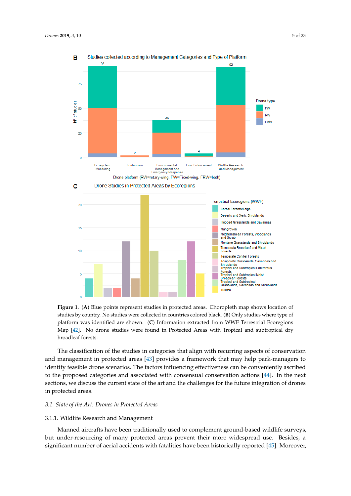<span id="page-5-0"></span>

studies by country. No studies were collected in countries colored black. (**B**) Only studies where type of platform was identified are shown. (C) Information extracted from WWF Terrestrial Ecoregions Map [\[42\]](#page-14-4). No drone studies were found in Protected Areas with Tropical and subtropical dry  $\mathbf{f}_{\text{current}}$ broadleaf forests. **Figure 1.** (**A**) Blue points represent studies in protected areas. Choropleth map shows location of broadleaf forests.

The classification of the studies in categories that align with recurring aspects of conservation The classification of the studies in categories that align with recurring aspects of conservation and management in protected areas [43] provides a framework that may help park-managers to and management in protected areas [\[43\]](#page-14-5) provides a framework that may help park-managers to identify feasible drone scenarios. The factors influencing effectiveness can be conveniently ascribed identify feasible drone scenarios. The factors influencing effectiveness can be conveniently ascribed to the proposed categories and associated with consensual conservation actions [44]. In the next to the proposed categories and associated with consensual conservation actions [\[44\]](#page-14-6). In the next sections, we discuss the current state of the art and the challenges for the future integration of drones in protected areas.

# *3.1. State of the Art: Drones in Protected Areas*

#### 3.1.1. Wildlife Research and Management

Manned aircrafts have been traditionally used to complement ground-based wildlife surveys, but under-resourcing of many protected areas prevent their more widespread use. Besides, a significant number of aerial accidents with fatalities have been historically reported [\[45\]](#page-14-7). Moreover,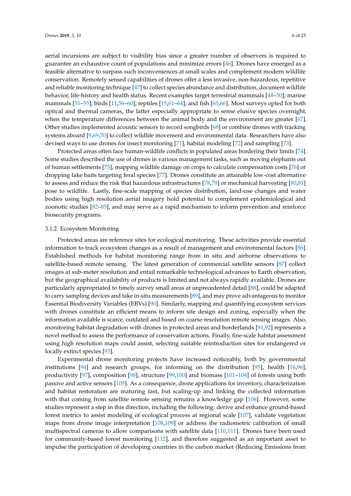aerial incursions are subject to visibility bias since a greater number of observers is required to guarantee an exhaustive count of populations and minimize errors [\[46\]](#page-14-8). Drones have emerged as a feasible alternative to surpass such inconveniences at small scales and complement modern wildlife conservation. Remotely sensed capabilities of drones offer a less invasive, non-hazardous, repetitive and reliable monitoring technique [\[47\]](#page-14-9) to collect species abundance and distribution, document wildlife behavior, life-history and health status. Recent examples target terrestrial mammals [\[48–](#page-14-10)[50\]](#page-14-11); marine mammals [\[51](#page-14-12)[–55\]](#page-14-13); birds [\[11](#page-12-10)[,56–](#page-14-14)[60\]](#page-15-0); reptiles [\[15,](#page-12-13)[61–](#page-15-1)[64\]](#page-15-2); and fish [\[65](#page-15-3)[,66\]](#page-15-4). Most surveys opted for both optical and thermal cameras, the latter especially appropriate to sense elusive species overnight, when the temperature differences between the animal body and the environment are greater [\[67\]](#page-15-5). Other studies implemented acoustic sensors to record songbirds [\[68\]](#page-15-6) or combine drones with tracking systems aboard [\[9,](#page-12-8)[69](#page-15-7)[,70\]](#page-15-8) to collect wildlife movement and environmental data. Researchers have also devised ways to use drones for insect monitoring [\[71\]](#page-15-9), habitat modeling [\[72\]](#page-15-10) and sampling [\[73\]](#page-15-11).

Protected areas often face human-wildlife conflicts in populated areas bordering their limits [\[74\]](#page-15-12). Some studies described the use of drones in various management tasks, such as moving elephants out of human settlements [\[75\]](#page-15-13), mapping wildlife damage on crops to calculate compensation costs [\[76\]](#page-15-14) or dropping fake baits targeting feral species [\[77\]](#page-15-15). Drones constitute an attainable low-cost alternative to assess and reduce the risk that hazardous infrastructures [\[78](#page-15-16)[,79\]](#page-15-17) or mechanical harvesting [\[80](#page-15-18)[,81\]](#page-16-0) pose to wildlife. Lastly, fine-scale mapping of species distribution, land-use changes and water bodies using high resolution aerial imagery hold potential to complement epidemiological and zoonotic studies [\[82](#page-16-1)[–85\]](#page-16-2), and may serve as a rapid mechanism to inform prevention and reinforce biosecurity programs.

#### 3.1.2. Ecosystem Monitoring

Protected areas are reference sites for ecological monitoring. These activities provide essential information to track ecosystem changes as a result of management and environmental factors [\[86\]](#page-16-3). Established methods for habitat monitoring range from in situ and airborne observations to satellite-based remote sensing. The latest generation of commercial satellite sensors [\[87\]](#page-16-4) collect images at sub-meter resolution and entail remarkable technological advances to Earth observation, but the geographical availability of products is limited and not always rapidly available. Drones are particularly appropriated to timely survey small areas at unprecedented detail [\[88\]](#page-16-5), could be adapted to carry sampling devices and take in-situ measurements [\[89\]](#page-16-6), and may prove advantageous to monitor Essential Biodiversity Variables (EBVs) [\[90\]](#page-16-7). Similarly, mapping and quantifying ecosystem services with drones constitute an efficient means to inform site design and zoning, especially when the information available is scarce, outdated and based on coarse-resolution remote sensing images. Also, monitoring habitat degradation with drones in protected areas and borderlands [\[91,](#page-16-8)[92\]](#page-16-9) represents a novel method to assess the performance of conservation actions. Finally, fine-scale habitat assessment using high resolution maps could assist, selecting suitable reintroduction sites for endangered or locally extinct species [\[93\]](#page-16-10).

Experimental drone monitoring projects have increased noticeably, both by governmental institutions [\[94\]](#page-16-11) and research groups, for informing on the distribution [\[95\]](#page-16-12), health [\[16,](#page-12-14)[96\]](#page-16-13), productivity [\[97\]](#page-16-14), composition [\[98\]](#page-16-15), structure [\[99](#page-16-16)[,100\]](#page-16-17) and biomass [\[101](#page-16-18)[–104\]](#page-17-0) of forests using both passive and active sensors [\[105\]](#page-17-1). As a consequence, drone applications for inventory, characterization and habitat restoration are maturing fast, but scaling-up and linking the collected information with that coming from satellite remote sensing remains a knowledge gap [\[106\]](#page-17-2). However, some studies represent a step in this direction, including the following: derive and enhance ground-based forest metrics to assist modeling of ecological process at regional scale [\[107\]](#page-17-3), validate vegetation maps from drone image interpretation [\[108](#page-17-4)[,109\]](#page-17-5) or address the radiometric calibration of small multispectral cameras to allow comparisons with satellite data [\[110](#page-17-6)[,111\]](#page-17-7). Drones have been used for community-based forest monitoring [\[112\]](#page-17-8), and therefore suggested as an important asset to impulse the participation of developing countries in the carbon market (Reducing Emissions from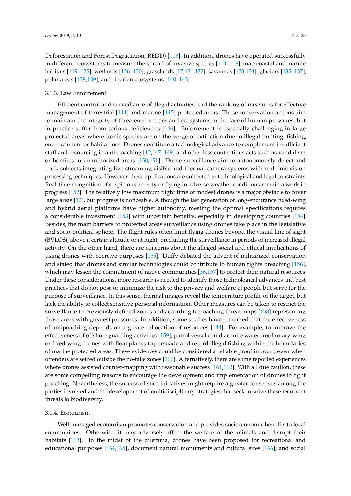Deforestation and Forest Degradation, REDD) [\[113\]](#page-17-9). In addition, drones have operated successfully in different ecosystems to measure the spread of invasive species [\[114](#page-17-10)[–118\]](#page-17-11); map coastal and marine habitats [\[119–](#page-17-12)[125\]](#page-18-0); wetlands [\[126](#page-18-1)[–130\]](#page-18-2); grasslands [\[17,](#page-13-0)[131,](#page-18-3)[132\]](#page-18-4); savannas [\[133,](#page-18-5)[134\]](#page-18-6); glaciers [\[135](#page-18-7)[–137\]](#page-18-8); polar areas [\[138](#page-18-9)[,139\]](#page-18-10); and riparian ecosystems [\[140–](#page-18-11)[143\]](#page-18-12).

### 3.1.3. Law Enforcement

Efficient control and surveillance of illegal activities lead the ranking of measures for effective management of terrestrial [\[144\]](#page-18-13) and marine [\[145\]](#page-19-0) protected areas. These conservation actions aim to maintain the integrity of threatened species and ecosystems in the face of human pressures, but in practice suffer from serious deficiencies [\[146\]](#page-19-1). Enforcement is especially challenging in large protected areas where iconic species are on the verge of extinction due to illegal hunting, fishing, encroachment or habitat loss. Drones constitute a technological advance to complement insufficient staff and resourcing in anti-poaching [\[12](#page-12-11)[,147](#page-19-2)[–149\]](#page-19-3) and other less contentious acts such as vandalism or bonfires in unauthorized areas [\[150,](#page-19-4)[151\]](#page-19-5). Drone surveillance aim to autonomously detect and track subjects integrating live streaming visible and thermal camera systems with real time vision processing techniques. However, these applications are subjected to technological and legal constraints. Real-time recognition of suspicious activity or flying in adverse weather conditions remain a work in progress [\[152\]](#page-19-6). The relatively low maximum flight time of modest drones is a major obstacle to cover large areas [\[12\]](#page-12-11), but progress is noticeable. Although the last generation of long-endurance fixed-wing and hybrid aerial platforms have higher autonomy, meeting the optimal specifications requires a considerable investment [\[153\]](#page-19-7) with uncertain benefits, especially in developing countries [\[154\]](#page-19-8). Besides, the main barriers to protected areas surveillance using drones take place in the legislative and socio-political sphere. The flight rules often limit flying drones beyond the visual line of sight (BVLOS), above a certain altitude or at night, precluding the surveillance in periods of increased illegal activity. On the other hand, there are concerns about the alleged social and ethical implications of using drones with coercive purposes [\[155\]](#page-19-9). Duffy debated the advent of militarized conservation and stated that drones and similar technologies could contribute to human rights breaching [\[156\]](#page-19-10), which may lessen the commitment of native communities [\[36](#page-13-17)[,157\]](#page-19-11) to protect their natural resources. Under these considerations, more research is needed to identify those technological advances and best practices that do not pose or minimize the risk to the privacy and welfare of people but serve for the purpose of surveillance. In this sense, thermal images reveal the temperature profile of the target, but lack the ability to collect sensitive personal information. Other measures can be taken to restrict the surveillance to previously defined zones and according to poaching threat maps [\[158\]](#page-19-12) representing those areas with greatest pressures. In addition, some studies have remarked that the effectiveness of antipoaching depends on a greater allocation of resources [\[144\]](#page-18-13). For example, to improve the effectiveness of offshore guarding activities [\[159\]](#page-19-13), patrol vessel could acquire waterproof rotary-wing or fixed-wing drones with float planes to persuade and record illegal fishing within the boundaries of marine protected areas. These evidences could be considered a reliable proof in court, even when offenders are seized outside the no-take zones [\[160\]](#page-19-14). Alternatively, there are some reported experiences where drones assisted counter-mapping with reasonable success [\[161](#page-19-15)[,162\]](#page-19-16). With all due caution, these are some compelling reasons to encourage the development and implementation of drones to fight poaching. Nevertheless, the success of such initiatives might require a greater consensus among the parties involved and the development of multidisciplinary strategies that seek to solve these recurrent threats to biodiversity.

#### 3.1.4. Ecotourism

Well-managed ecotourism promotes conservation and provides socioeconomic benefits to local communities. Otherwise, it may adversely affect the welfare of the animals and disrupt their habitats [\[163\]](#page-19-17). In the midst of the dilemma, drones have been proposed for recreational and educational purposes [\[164,](#page-19-18)[165\]](#page-19-19), document natural monuments and cultural sites [\[166\]](#page-20-0); and social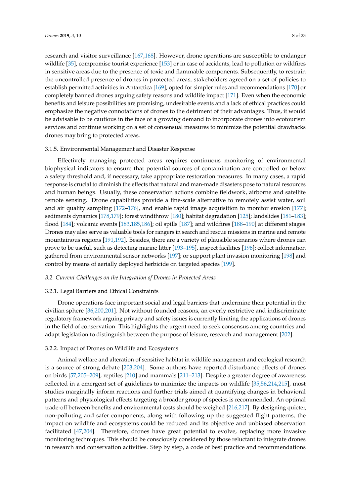research and visitor surveillance [\[167,](#page-20-1)[168\]](#page-20-2). However, drone operations are susceptible to endanger wildlife [\[35\]](#page-13-16), compromise tourist experience [\[153\]](#page-19-7) or in case of accidents, lead to pollution or wildfires in sensitive areas due to the presence of toxic and flammable components. Subsequently, to restrain the uncontrolled presence of drones in protected areas, stakeholders agreed on a set of policies to establish permitted activities in Antarctica [\[169\]](#page-20-3), opted for simpler rules and recommendations [\[170\]](#page-20-4) or completely banned drones arguing safety reasons and wildlife impact [\[171\]](#page-20-5). Even when the economic benefits and leisure possibilities are promising, undesirable events and a lack of ethical practices could emphasize the negative connotations of drones to the detriment of their advantages. Thus, it would be advisable to be cautious in the face of a growing demand to incorporate drones into ecotourism services and continue working on a set of consensual measures to minimize the potential drawbacks drones may bring to protected areas.

### 3.1.5. Environmental Management and Disaster Response

Effectively managing protected areas requires continuous monitoring of environmental biophysical indicators to ensure that potential sources of contamination are controlled or below a safety threshold and, if necessary, take appropriate restoration measures. In many cases, a rapid response is crucial to diminish the effects that natural and man-made disasters pose to natural resources and human beings. Usually, these conservation actions combine fieldwork, airborne and satellite remote sensing. Drone capabilities provide a fine-scale alternative to remotely assist water, soil and air quality sampling [\[172–](#page-20-6)[176\]](#page-20-7), and enable rapid image acquisition to monitor erosion [\[177\]](#page-20-8); sediments dynamics [\[178,](#page-20-9)[179\]](#page-20-10); forest windthrow [\[180\]](#page-20-11); habitat degradation [\[125\]](#page-18-0); landslides [\[181](#page-20-12)[–183\]](#page-20-13); flood [\[184\]](#page-20-14); volcanic events [\[183](#page-20-13)[,185](#page-20-15)[,186\]](#page-20-16); oil spills [\[187\]](#page-20-17); and wildfires [\[188–](#page-20-18)[190\]](#page-21-0) at different stages. Drones may also serve as valuable tools for rangers in search and rescue missions in marine and remote mountainous regions [\[191,](#page-21-1)[192\]](#page-21-2). Besides, there are a variety of plausible scenarios where drones can prove to be useful, such as detecting marine litter [\[193–](#page-21-3)[195\]](#page-21-4), inspect facilities [\[196\]](#page-21-5); collect information gathered from environmental sensor networks [\[197\]](#page-21-6); or support plant invasion monitoring [\[198\]](#page-21-7) and control by means of aerially deployed herbicide on targeted species [\[199\]](#page-21-8).

# *3.2. Current Challenges on the Integration of Drones in Protected Areas*

#### 3.2.1. Legal Barriers and Ethical Constraints

Drone operations face important social and legal barriers that undermine their potential in the civilian sphere [\[36](#page-13-17)[,200](#page-21-9)[,201\]](#page-21-10). Not without founded reasons, an overly restrictive and indiscriminate regulatory framework arguing privacy and safety issues is currently limiting the applications of drones in the field of conservation. This highlights the urgent need to seek consensus among countries and adapt legislation to distinguish between the purpose of leisure, research and management [\[202\]](#page-21-11).

#### 3.2.2. Impact of Drones on Wildlife and Ecosystems

Animal welfare and alteration of sensitive habitat in wildlife management and ecological research is a source of strong debate [\[203,](#page-21-12)[204\]](#page-21-13). Some authors have reported disturbance effects of drones on birds [\[57](#page-14-15)[,205–](#page-21-14)[209\]](#page-21-15), reptiles [\[210\]](#page-21-16) and mammals [\[211](#page-21-17)[–213\]](#page-21-18). Despite a greater degree of awareness reflected in a emergent set of guidelines to minimize the impacts on wildlife [\[35,](#page-13-16)[56](#page-14-14)[,214,](#page-22-0)[215\]](#page-22-1), most studies marginally inform reactions and further trials aimed at quantifying changes in behavioral patterns and physiological effects targeting a broader group of species is recommended. An optimal trade-off between benefits and environmental costs should be weighed [\[216,](#page-22-2)[217\]](#page-22-3). By designing quieter, non-polluting and safer components, along with following up the suggested flight patterns, the impact on wildlife and ecosystems could be reduced and its objective and unbiased observation facilitated [\[47,](#page-14-9)[204\]](#page-21-13). Therefore, drones have great potential to evolve, replacing more invasive monitoring techniques. This should be consciously considered by those reluctant to integrate drones in research and conservation activities. Step by step, a code of best practice and recommendations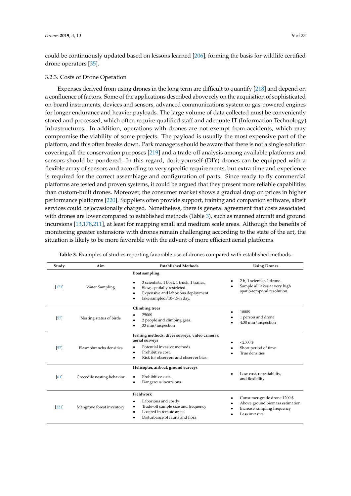could be continuously updated based on lessons learned [\[206\]](#page-21-19), forming the basis for wildlife certified drone operators [\[35\]](#page-13-16).

# 3.2.3. Costs of Drone Operation

Expenses derived from using drones in the long term are difficult to quantify [\[218\]](#page-22-4) and depend on a confluence of factors. Some of the applications described above rely on the acquisition of sophisticated on-board instruments, devices and sensors, advanced communications system or gas-powered engines for longer endurance and heavier payloads. The large volume of data collected must be conveniently stored and processed, which often require qualified staff and adequate IT (Information Technology) infrastructures. In addition, operations with drones are not exempt from accidents, which may compromise the viability of some projects. The payload is usually the most expensive part of the platform, and this often breaks down. Park managers should be aware that there is not a single solution covering all the conservation purposes [\[219\]](#page-22-5) and a trade-off analysis among available platforms and sensors should be pondered. In this regard, do-it-yourself (DIY) drones can be equipped with a flexible array of sensors and according to very specific requirements, but extra time and experience is required for the correct assemblage and configuration of parts. Since ready to fly commercial platforms are tested and proven systems, it could be argued that they present more reliable capabilities than custom-built drones. Moreover, the consumer market shows a gradual drop on prices in higher performance platforms [\[220\]](#page-22-6). Suppliers often provide support, training and companion software, albeit services could be occasionally charged. Nonetheless, there is general agreement that costs associated with drones are lower compared to established methods (Table [3\)](#page-9-0), such as manned aircraft and ground incursions [\[13,](#page-12-15)[178,](#page-20-9)[211\]](#page-21-17), at least for mapping small and medium scale areas. Although the benefits of monitoring greater extensions with drones remain challenging according to the state of the art, the situation is likely to be more favorable with the advent of more efficient aerial platforms.

<span id="page-9-0"></span>

| Study   | Aim                        | <b>Established Methods</b>                                                                                                                                                     | <b>Using Drones</b>                                                                                              |  |  |
|---------|----------------------------|--------------------------------------------------------------------------------------------------------------------------------------------------------------------------------|------------------------------------------------------------------------------------------------------------------|--|--|
| $[173]$ | <b>Water Sampling</b>      | <b>Boat sampling</b><br>3 scientists, 1 boat, 1 truck, 1 trailer.<br>Slow, spatially restricted.<br>Expensive and laborious deployment<br>٠<br>lake sampled/10-15-h day.       | 2 h, 1 scientist, 1 drone.<br>Sample all lakes at very high<br>spatio-temporal resolution.                       |  |  |
| [57]    | Nesting status of birds    | <b>Climbing</b> trees<br>2500\$<br>2 people and climbing gear.<br>33 min/inspection                                                                                            | 1000\$<br>1 person and drone<br>4:30 min/inspection                                                              |  |  |
| [57]    | Elasmobranchs densities    | Fishing methods, diver surveys, video cameras,<br>aerial surveys<br>Potential invasive methods<br>Prohibitive cost.<br>٠<br>Risk for observers and observer bias.<br>$\bullet$ | $< 2500$ \$<br>Short period of time.<br>True densities                                                           |  |  |
| [61]    | Crocodile nesting behavior | Helicopter, airboat, ground surveys<br>Prohibitive cost.<br>Dangerous incursions.<br>٠                                                                                         | Low cost, repeatability,<br>and flexibility                                                                      |  |  |
| [221]   | Mangrove forest inventory  | Fieldwork<br>Laborious and costly<br>٠<br>Trade-off sample size and frequency<br>Located in remote areas.<br>Disturbance of fauna and flora<br>٠                               | Consumer-grade drone 1200 \$<br>Above ground biomass estimation.<br>Increase sampling frequency<br>Less invasive |  |  |

**Table 3.** Examples of studies reporting favorable use of drones compared with established methods.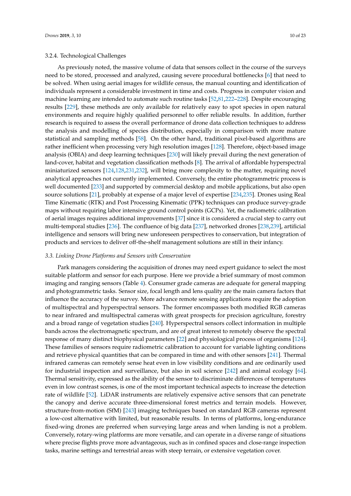# 3.2.4. Technological Challenges

As previously noted, the massive volume of data that sensors collect in the course of the surveys need to be stored, processed and analyzed, causing severe procedural bottlenecks [\[6\]](#page-12-5) that need to be solved. When using aerial images for wildlife census, the manual counting and identification of individuals represent a considerable investment in time and costs. Progress in computer vision and machine learning are intended to automate such routine tasks [\[52](#page-14-16)[,81](#page-16-0)[,222](#page-22-8)[–228\]](#page-22-9). Despite encouraging results [\[229\]](#page-22-10), these methods are only available for relatively easy to spot species in open natural environments and require highly qualified personnel to offer reliable results. In addition, further research is required to assess the overall performance of drone data collection techniques to address the analysis and modelling of species distribution, especially in comparison with more mature statistical and sampling methods [\[58\]](#page-15-19). On the other hand, traditional pixel-based algorithms are rather inefficient when processing very high resolution images [\[128\]](#page-18-14). Therefore, object-based image analysis (OBIA) and deep learning techniques [\[230\]](#page-22-11) will likely prevail during the next generation of land-cover, habitat and vegetation classification methods [\[8\]](#page-12-7). The arrival of affordable hyperspectral miniaturized sensors [\[124](#page-18-15)[,128](#page-18-14)[,231](#page-22-12)[,232\]](#page-22-13), will bring more complexity to the matter, requiring novel analytical approaches not currently implemented. Conversely, the entire photogrammetric process is well documented [\[233\]](#page-22-14) and supported by commercial desktop and mobile applications, but also open source solutions [\[21\]](#page-13-18), probably at expense of a major level of expertise [\[234,](#page-22-15)[235\]](#page-23-0). Drones using Real Time Kinematic (RTK) and Post Processing Kinematic (PPK) techniques can produce survey-grade maps without requiring labor intensive ground control points (GCPs). Yet, the radiometric calibration of aerial images requires additional improvements [\[37\]](#page-14-0) since it is considered a crucial step to carry out multi-temporal studies [\[236\]](#page-23-1). The confluence of big data [\[237\]](#page-23-2), networked drones [\[238](#page-23-3)[,239\]](#page-23-4), artificial intelligence and sensors will bring new unforeseen perspectives to conservation, but integration of products and services to deliver off-the-shelf management solutions are still in their infancy.

#### *3.3. Linking Drone Platforms and Sensors with Conservation*

Park managers considering the acquisition of drones may need expert guidance to select the most suitable platform and sensor for each purpose. Here we provide a brief summary of most common imaging and ranging sensors (Table [4\)](#page-11-0). Consumer grade cameras are adequate for general mapping and photogrammetric tasks. Sensor size, focal length and lens quality are the main camera factors that influence the accuracy of the survey. More advance remote sensing applications require the adoption of multispectral and hyperspectral sensors. The former encompasses both modified RGB cameras to near infrared and multispectral cameras with great prospects for precision agriculture, forestry and a broad range of vegetation studies [\[240\]](#page-23-5). Hyperspectral sensors collect information in multiple bands across the electromagnetic spectrum, and are of great interest to remotely observe the spectral response of many distinct biophysical parameters [\[22\]](#page-13-3) and physiological process of organisms [\[124\]](#page-18-15). These families of sensors require radiometric calibration to account for variable lighting conditions and retrieve physical quantities that can be compared in time and with other sensors [\[241\]](#page-23-6). Thermal infrared cameras can remotely sense heat even in low visibility conditions and are ordinarily used for industrial inspection and surveillance, but also in soil science [\[242\]](#page-23-7) and animal ecology [\[64\]](#page-15-2). Thermal sensitivity, expressed as the ability of the sensor to discriminate differences of temperatures even in low contrast scenes, is one of the most important technical aspects to increase the detection rate of wildlife [\[52\]](#page-14-16). LiDAR instruments are relatively expensive active sensors that can penetrate the canopy and derive accurate three-dimensional forest metrics and terrain models. However, structure-from-motion (SfM) [\[243\]](#page-23-8) imaging techniques based on standard RGB cameras represent a low-cost alternative with limited, but reasonable results. In terms of platforms, long-endurance fixed-wing drones are preferred when surveying large areas and when landing is not a problem. Conversely, rotary-wing platforms are more versatile, and can operate in a diverse range of situations where precise flights prove more advantageous, such as in confined spaces and close-range inspection tasks, marine settings and terrestrial areas with steep terrain, or extensive vegetation cover.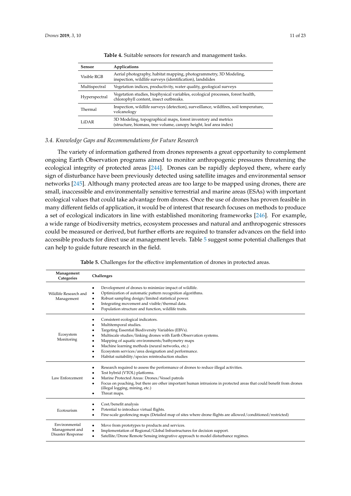<span id="page-11-0"></span>

| Sensor        | Applications                                                                                                                       |
|---------------|------------------------------------------------------------------------------------------------------------------------------------|
| Visible RGB   | Aerial photography, habitat mapping, photogrammetry, 3D Modeling,<br>inspection, wildlife surveys (identification), landslides     |
| Multispectral | Vegetation indices, productivity, water quality, geological surveys                                                                |
| Hyperspectral | Vegetation studies, biophysical variables, ecological processes, forest health,<br>chlorophyll content, insect outbreaks.          |
| Thermal       | Inspection, wildlife surveys (detection), surveillance, wildfires, soil temperature,<br>volcanology                                |
| LiDAR         | 3D Modeling, topographical maps, forest inventory and metrics<br>(structure, biomass, tree volume, canopy height, leaf area index) |

**Table 4.** Suitable sensors for research and management tasks.

#### *3.4. Knowledge Gaps and Recommendations for Future Research*

The variety of information gathered from drones represents a great opportunity to complement ongoing Earth Observation programs aimed to monitor anthropogenic pressures threatening the ecological integrity of protected areas [\[244\]](#page-23-9). Drones can be rapidly deployed there, where early sign of disturbance have been previously detected using satellite images and environmental sensor networks [\[245\]](#page-23-10). Although many protected areas are too large to be mapped using drones, there are small, inaccessible and environmentally sensitive terrestrial and marine areas (ESAs) with important ecological values that could take advantage from drones. Once the use of drones has proven feasible in many different fields of application, it would be of interest that research focuses on methods to produce a set of ecological indicators in line with established monitoring frameworks [\[246\]](#page-23-11). For example, a wide range of biodiversity metrics, ecosystem processes and natural and anthropogenic stressors could be measured or derived, but further efforts are required to transfer advances on the field into accessible products for direct use at management levels. Table [5](#page-11-1) suggest some potential challenges that can help to guide future research in the field.

<span id="page-11-1"></span>

| Management<br>Categories                             | Challenges                                                                                                                                                                                                                                                                                                                                                                                                                                 |
|------------------------------------------------------|--------------------------------------------------------------------------------------------------------------------------------------------------------------------------------------------------------------------------------------------------------------------------------------------------------------------------------------------------------------------------------------------------------------------------------------------|
| Wildlife Research and<br>Management                  | Development of drones to minimize impact of wildlife.<br>$\bullet$<br>Optimization of automatic pattern recognition algorithms.<br>$\bullet$<br>Robust sampling design/limited statistical power.<br>Integrating movement and visible/thermal data.<br>$\bullet$<br>Population structure and function, wildlife traits.<br>$\bullet$                                                                                                       |
| Ecosystem<br>Monitoring                              | Consistent ecological indicators.<br>Multitemporal studies.<br>Targeting Essential Biodiversity Variables (EBVs).<br>Multiscale studies/linking drones with Earth Observation systems.<br>Mapping of aquatic environments/bathymetry maps<br>$\bullet$<br>Machine learning methods (neural networks, etc.)<br>٠<br>Ecosystem services/area designation and performance.<br>$\bullet$<br>Habitat suitability/species reintroduction studies |
| Law Enforcement                                      | Research required to assess the performance of drones to reduce illegal activities.<br>$\bullet$<br>Test hybrid (VTOL) platforms.<br>Marine Protected Areas: Drones/Vessel patrols<br>Focus on poaching, but there are other important human intrusions in protected areas that could benefit from drones<br>$\bullet$<br>(illegal logging, mining, etc.)<br>Threat maps.                                                                  |
| Ecotourism                                           | Cost/benefit analysis<br>Potential to introduce virtual flights.<br>Fine-scale geofencing maps (Detailed map of sites where drone flights are allowed/conditioned/restricted)                                                                                                                                                                                                                                                              |
| Environmental<br>Management and<br>Disaster Response | Move from prototypes to products and services.<br>Implementation of Regional/Global Infrastructures for decision support.<br>Satellite/Drone Remote Sensing integrative approach to model disturbance regimes.                                                                                                                                                                                                                             |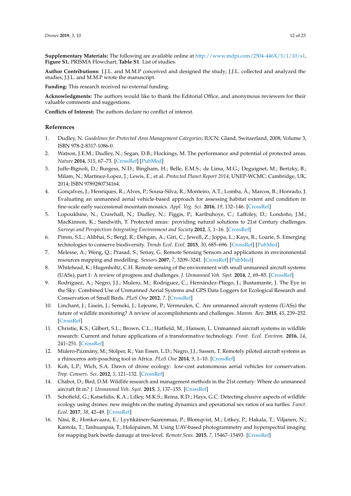**Supplementary Materials:** The following are available online at [http://www.mdpi.com/2504-446X/3/1/10/s1,](http://www.mdpi.com/2504-446X/3/1/10/s1) **Figure S1.** PRISMA Flowchart; **Table S1**. List of studies.

**Author Contributions:** J.J.L. and M.M.P conceived and designed the study; J.J.L. collected and analyzed the studies; J.J.L. and M.M.P wrote the manuscript.

**Funding:** This research received no external funding.

**Acknowledgments:** The authors would like to thank the Editorial Office, and anonymous reviewers for their valuable comments and suggestions.

**Conflicts of Interest:** The authors declare no conflict of interest.

#### **References**

- <span id="page-12-0"></span>1. Dudley, N. *Guidelines for Protected Area Management Categories*; IUCN: Gland, Switzerland, 2008; Volume 3, ISBN 978-2-8317-1086-0.
- <span id="page-12-1"></span>2. Watson, J.E.M.; Dudley, N.; Segan, D.B.; Hockings, M. The performance and potential of protected areas. *Nature* **2014**, *515*, 67–73. [\[CrossRef\]](http://dx.doi.org/10.1038/nature13947) [\[PubMed\]](http://www.ncbi.nlm.nih.gov/pubmed/25373676)
- <span id="page-12-2"></span>3. Juffe-Bignoli, D.; Burgess, N.D.; Bingham, H.; Belle, E.M.S.; de Lima, M.G.; Deguignet, M.; Bertzky, B.; Milam, N.; Martinez-Lopez, J.; Lewis, E.; et al. *Protected Planet Report 2014*; UNEP-WCMC: Cambridge, UK, 2014; ISBN 9789280734164.
- <span id="page-12-3"></span>4. Gonçalves, J.; Henriques, R.; Alves, P.; Sousa-Silva, R.; Monteiro, A.T.; Lomba, Â.; Marcos, B.; Honrado, J. Evaluating an unmanned aerial vehicle-based approach for assessing habitat extent and condition in fine-scale early successional mountain mosaics. *Appl. Veg. Sci.* **2016**, *19*, 132–146. [\[CrossRef\]](http://dx.doi.org/10.1111/avsc.12204)
- <span id="page-12-4"></span>5. Lopoukhine, N.; Crawhall, N.; Dudley, N.; Figgis, P.; Karibuhoye, C.; Laffoley, D.; Londoño, J.M.; MacKinnon, K.; Sandwith, T. Protected areas: providing natural solutions to 21st Century challenges. *Surveys and Perspectives Integrating Environment and Society* **2012**, *5*, 1–16. [\[CrossRef\]](http://dx.doi.org/10.1017/CBO9781107415324.004)
- <span id="page-12-5"></span>6. Pimm, S.L.; Alibhai, S.; Bergl, R.; Dehgan, A.; Giri, C.; Jewell, Z.; Joppa, L.; Kays, R.; Loarie, S. Emerging technologies to conserve biodiversity. *Trends Ecol. Evol.* **2015**, *30*, 685–696. [\[CrossRef\]](http://dx.doi.org/10.1016/j.tree.2015.08.008) [\[PubMed\]](http://www.ncbi.nlm.nih.gov/pubmed/26437636)
- <span id="page-12-6"></span>7. Melesse, A.; Weng, Q.; Prasad, S.; Senay, G. Remote Sensing Sensors and applications in environmental resources mapping and modelling. *Sensors* **2007**, *7*, 3209–3241. [\[CrossRef\]](http://dx.doi.org/10.3390/s7123209) [\[PubMed\]](http://www.ncbi.nlm.nih.gov/pubmed/28903290)
- <span id="page-12-7"></span>8. Whitehead, K.; Hugenholtz, C.H. Remote sensing of the environment with small unmanned aircraft systems (UASs), part 1: A review of progress and challenges. *J. Unmanned Veh. Syst.* **2014**, *2*, 69–85. [\[CrossRef\]](http://dx.doi.org/10.1139/juvs-2014-0006)
- <span id="page-12-8"></span>9. Rodríguez, A.; Negro, J.J.; Mulero, M.; Rodríguez, C.; Hernández-Pliego, J.; Bustamante, J. The Eye in the Sky: Combined Use of Unmanned Aerial Systems and GPS Data Loggers for Ecological Research and Conservation of Small Birds. *PLoS One* **2012**, *7*. [\[CrossRef\]](http://dx.doi.org/10.1371/journal.pone.0050336)
- <span id="page-12-9"></span>10. Linchant, J.; Lisein, J.; Semeki, J.; Lejeune, P.; Vermeulen, C. Are unmanned aircraft systems (UASs) the future of wildlife monitoring? A review of accomplishments and challenges. *Mamm. Rev.* **2015**, *45*, 239–252. [\[CrossRef\]](http://dx.doi.org/10.1111/mam.12046)
- <span id="page-12-10"></span>11. Christie, K.S.; Gilbert, S.L.; Brown, C.L.; Hatfield, M.; Hanson, L. Unmanned aircraft systems in wildlife research: Current and future applications of a transformative technology. *Front. Ecol. Environ.* **2016**, *14*, 241–251. [\[CrossRef\]](http://dx.doi.org/10.1002/fee.1281)
- <span id="page-12-11"></span>12. Mulero-Pázmány, M.; Stolper, R.; Van Essen, L.D.; Negro, J.J.; Sassen, T. Remotely piloted aircraft systems as a rhinoceros anti-poaching tool in Africa. *PLoS One* **2014**, *9*, 1–10. [\[CrossRef\]](http://dx.doi.org/10.1371/journal.pone.0083873)
- <span id="page-12-15"></span>13. Koh, L.P.; Wich, S.A. Dawn of drone ecology: low-cost autonomous aerial vehicles for conservation. *Trop. Conserv. Sci.* **2012**, *5*, 121–132. [\[CrossRef\]](http://dx.doi.org/10.1177/194008291200500202)
- <span id="page-12-12"></span>14. Chabot, D.; Bird, D.M. Wildlife research and management methods in the 21st century: Where do unmanned aircraft fit in? *J. Unmanned Veh. Syst.* **2015**, *3*, 137–155. [\[CrossRef\]](http://dx.doi.org/10.1139/juvs-2015-0021)
- <span id="page-12-13"></span>15. Schofield, G.; Katselidis, K.A.; Lilley, M.K.S.; Reina, R.D.; Hays, G.C. Detecting elusive aspects of wildlife ecology using drones: new insights on the mating dynamics and operational sex ratios of sea turtles. *Funct. Ecol.* **2017**, *38*, 42–49. [\[CrossRef\]](http://dx.doi.org/10.1111/1365-2435.12930)
- <span id="page-12-14"></span>16. Näsi, R.; Honkavaara, E.; Lyytikäinen-Saarenmaa, P.; Blomqvist, M.; Litkey, P.; Hakala, T.; Viljanen, N.; Kantola, T.; Tanhuanpää, T.; Holopainen, M. Using UAV-based photogrammetry and hyperspectral imaging for mapping bark beetle damage at tree-level. *Remote Sens.* **2015**, *7*, 15467–15493. [\[CrossRef\]](http://dx.doi.org/10.3390/rs71115467)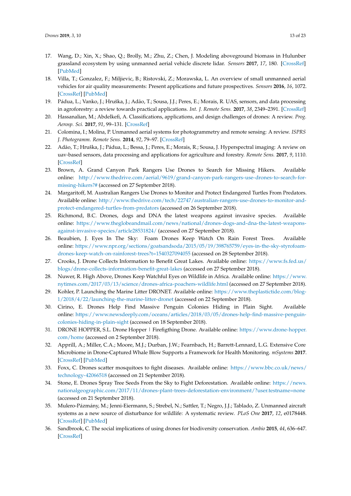- <span id="page-13-0"></span>17. Wang, D.; Xin, X.; Shao, Q.; Brolly, M.; Zhu, Z.; Chen, J. Modeling aboveground biomass in Hulunber grassland ecosystem by using unmanned aerial vehicle discrete lidar. *Sensors* **2017**, *17*, 180. [\[CrossRef\]](http://dx.doi.org/10.3390/s17010180) [\[PubMed\]](http://www.ncbi.nlm.nih.gov/pubmed/28106819)
- <span id="page-13-1"></span>18. Villa, T.; Gonzalez, F.; Miljievic, B.; Ristovski, Z.; Morawska, L. An overview of small unmanned aerial vehicles for air quality measurements: Present applications and future prospectives. *Sensors* **2016**, *16*, 1072. [\[CrossRef\]](http://dx.doi.org/10.3390/s16071072) [\[PubMed\]](http://www.ncbi.nlm.nih.gov/pubmed/27420065)
- <span id="page-13-2"></span>19. Pádua, L.; Vanko, J.; Hruška, J.; Adão, T.; Sousa, J.J.; Peres, E.; Morais, R. UAS, sensors, and data processing in agroforestry: a review towards practical applications. *Int. J. Remote Sens.* **2017**, *38*, 2349–2391. [\[CrossRef\]](http://dx.doi.org/10.1080/01431161.2017.1297548)
- 20. Hassanalian, M.; Abdelkefi, A. Classifications, applications, and design challenges of drones: A review. *Prog. Aerosp. Sci.* **2017**, *91*, 99–131. [\[CrossRef\]](http://dx.doi.org/10.1016/j.paerosci.2017.04.003)
- <span id="page-13-18"></span>21. Colomina, I.; Molina, P. Unmanned aerial systems for photogrammetry and remote sensing: A review. *ISPRS J. Photogramm. Remote Sens.* **2014**, *92*, 79–97. [\[CrossRef\]](http://dx.doi.org/10.1016/j.isprsjprs.2014.02.013)
- <span id="page-13-3"></span>22. Adão, T.; Hruška, J.; Pádua, L.; Bessa, J.; Peres, E.; Morais, R.; Sousa, J. Hyperspectral imaging: A review on uav-based sensors, data processing and applications for agriculture and forestry. *Remote Sens.* **2017**, *9*, 1110. [\[CrossRef\]](http://dx.doi.org/10.3390/rs9111110)
- <span id="page-13-4"></span>23. Brown, A. Grand Canyon Park Rangers Use Drones to Search for Missing Hikers. Available online: [http://www.thedrive.com/aerial/9619/grand-canyon-park-rangers-use-drones-to-search-for](http://www.thedrive.com/aerial/9619/grand-canyon-park-rangers-use-drones-to-search-for-missing-hikers?#)[missing-hikers?#](http://www.thedrive.com/aerial/9619/grand-canyon-park-rangers-use-drones-to-search-for-missing-hikers?#) (accessed on 27 September 2018).
- <span id="page-13-5"></span>24. Margaritoff, M. Australian Rangers Use Drones to Monitor and Protect Endangered Turtles From Predators. Available online: [http://www.thedrive.com/tech/22747/australian-rangers-use-drones-to-monitor-and](http://www.thedrive.com/tech/22747/australian-rangers-use-drones-to-monitor-and-protect-endangered-turtles-from-predators)[protect-endangered-turtles-from-predators](http://www.thedrive.com/tech/22747/australian-rangers-use-drones-to-monitor-and-protect-endangered-turtles-from-predators) (accessed on 26 September 2018).
- <span id="page-13-6"></span>25. Richmond, B.C. Drones, dogs and DNA the latest weapons against invasive species. Available online: [https://www.theglobeandmail.com/news/national/drones-dogs-and-dna-the-latest-weapons](https://www.theglobeandmail.com/news/national/drones-dogs-and-dna-the-latest-weapons-against-invasive-species/article28531824/)[against-invasive-species/article28531824/](https://www.theglobeandmail.com/news/national/drones-dogs-and-dna-the-latest-weapons-against-invasive-species/article28531824/) (accessed on 27 September 2018).
- <span id="page-13-7"></span>26. Beaubien, J. Eyes In The Sky: Foam Drones Keep Watch On Rain Forest Trees. Available online: [https://www.npr.org/sections/goatsandsoda/2015/05/19/398765759/eyes-in-the-sky-styrofoam](https://www.npr.org/sections/goatsandsoda/2015/05/19/398765759/eyes-in-the-sky-styrofoam-drones-keep-watch-on-rainforest-trees?t=1540327094055)[drones-keep-watch-on-rainforest-trees?t=1540327094055](https://www.npr.org/sections/goatsandsoda/2015/05/19/398765759/eyes-in-the-sky-styrofoam-drones-keep-watch-on-rainforest-trees?t=1540327094055) (accessed on 28 September 2018).
- <span id="page-13-8"></span>27. Crooks, J. Drone Collects Information to Benefit Great Lakes. Available online: [https://www.fs.fed.us/](https://www.fs.fed.us/blogs/drone-collects-information-benefit-great-lakes) [blogs/drone-collects-information-benefit-great-lakes](https://www.fs.fed.us/blogs/drone-collects-information-benefit-great-lakes) (accessed on 27 September 2018).
- <span id="page-13-9"></span>28. Nuwer, R. High Above, Drones Keep Watchful Eyes on Wildlife in Africa. Available online: [https://www.](https://www.nytimes.com/2017/03/13/science/drones-africa-poachers-wildlife.html) [nytimes.com/2017/03/13/science/drones-africa-poachers-wildlife.html](https://www.nytimes.com/2017/03/13/science/drones-africa-poachers-wildlife.html) (accessed on 27 September 2018).
- <span id="page-13-10"></span>29. Kohler, P. Launching the Marine Litter DRONET. Available online: [https://www.theplastictide.com/blog-](https://www.theplastictide.com/blog-1/2018/4/22/launching-the-marine-litter-dronet)[1/2018/4/22/launching-the-marine-litter-dronet](https://www.theplastictide.com/blog-1/2018/4/22/launching-the-marine-litter-dronet) (accessed on 22 September 2018).
- <span id="page-13-11"></span>30. Cirino, E. Drones Help Find Massive Penguin Colonies Hiding in Plain Sight. Available online: [https://www.newsdeeply.com/oceans/articles/2018/03/05/drones-help-find-massive-penguin](https://www.newsdeeply.com/oceans/articles/2018/03/05/drones-help-find-massive-penguin-colonies-hiding-in-plain-sight)[colonies-hiding-in-plain-sight](https://www.newsdeeply.com/oceans/articles/2018/03/05/drones-help-find-massive-penguin-colonies-hiding-in-plain-sight) (accessed on 18 September 2018).
- <span id="page-13-12"></span>31. DRONE HOPPER, S.L. Drone Hopper | Firefigthing Drone. Available online: [https://www.drone-hopper.](https://www.drone-hopper.com/home) [com/home](https://www.drone-hopper.com/home) (accessed on 2 September 2018).
- <span id="page-13-13"></span>32. Apprill, A.; Miller, C.A.; Moore, M.J.; Durban, J.W.; Fearnbach, H.; Barrett-Lennard, L.G. Extensive Core Microbiome in Drone-Captured Whale Blow Supports a Framework for Health Monitoring. *mSystems* **2017**. [\[CrossRef\]](http://dx.doi.org/10.1128/mSystems.00119-17) [\[PubMed\]](http://www.ncbi.nlm.nih.gov/pubmed/29034331)
- <span id="page-13-14"></span>33. Foxx, C. Drones scatter mosquitoes to fight diseases. Available online: [https://www.bbc.co.uk/news/](https://www.bbc.co.uk/news/technology-42066518) [technology-42066518](https://www.bbc.co.uk/news/technology-42066518) (accessed on 21 September 2018).
- <span id="page-13-15"></span>34. Stone, E. Drones Spray Tree Seeds From the Sky to Fight Deforestation. Available online: [https://news.](https://news.nationalgeographic.com/2017/11/drones-plant-trees-deforestation-environment/?user.testname=none) [nationalgeographic.com/2017/11/drones-plant-trees-deforestation-environment/?user.testname=none](https://news.nationalgeographic.com/2017/11/drones-plant-trees-deforestation-environment/?user.testname=none) (accessed on 21 September 2018).
- <span id="page-13-16"></span>35. Mulero-Pázmány, M.; Jenni-Eiermann, S.; Strebel, N.; Sattler, T.; Negro, J.J.; Tablado, Z. Unmanned aircraft systems as a new source of disturbance for wildlife: A systematic review. *PLoS One* **2017**, *12*, e0178448. [\[CrossRef\]](http://dx.doi.org/10.1371/journal.pone.0178448) [\[PubMed\]](http://www.ncbi.nlm.nih.gov/pubmed/28636611)
- <span id="page-13-17"></span>36. Sandbrook, C. The social implications of using drones for biodiversity conservation. *Ambio* **2015**, *44*, 636–647. [\[CrossRef\]](http://dx.doi.org/10.1007/s13280-015-0714-0)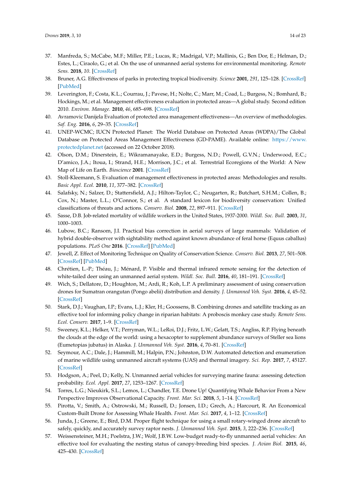- <span id="page-14-0"></span>37. Manfreda, S.; McCabe, M.F.; Miller, P.E.; Lucas, R.; Madrigal, V.P.; Mallinis, G.; Ben Dor, E.; Helman, D.; Estes, L.; Ciraolo, G.; et al. On the use of unmanned aerial systems for environmental monitoring. *Remote Sens.* **2018**, *10*. [\[CrossRef\]](http://dx.doi.org/10.3390/rs10040641)
- <span id="page-14-1"></span>38. Bruner, A.G. Effectiveness of parks in protecting tropical biodiversity. *Science* **2001**, *291*, 125–128. [\[CrossRef\]](http://dx.doi.org/10.1126/science.291.5501.125) [\[PubMed\]](http://www.ncbi.nlm.nih.gov/pubmed/11141563)
- 39. Leverington, F.; Costa, K.L.; Courrau, J.; Pavese, H.; Nolte, C.; Marr, M.; Coad, L.; Burgess, N.; Bomhard, B.; Hockings, M.; et al. Management effectiveness evaluation in protected areas—A global study. Second edition 2010. *Environ. Manage.* **2010**, *46*, 685–698. [\[CrossRef\]](http://dx.doi.org/10.1007/s00267-010-9564-5)
- <span id="page-14-2"></span>40. Avramovic Danijela Evaluation of protected area management effectiveness—An overview of methodologies. *Saf. Eng.* **2016**, *6*, 29–35. [\[CrossRef\]](http://dx.doi.org/10.7562/SE2016.6.01.05)
- <span id="page-14-3"></span>41. UNEP-WCMC; IUCN Protected Planet: The World Database on Protected Areas (WDPA)/The Global Database on Protected Areas Management Effectiveness (GD-PAME). Available online: [https://www.](https://www.protectedplanet.net) [protectedplanet.net](https://www.protectedplanet.net) (accessed on 22 October 2018).
- <span id="page-14-4"></span>42. Olson, D.M.; Dinerstein, E.; Wikramanayake, E.D.; Burgess, N.D.; Powell, G.V.N.; Underwood, E.C.; D'amico, J.A.; Itoua, I.; Strand, H.E.; Morrison, J.C.; et al. Terrestrial Ecoregions of the World: A New Map of Life on Earth. *Bioscience* **2001**. [\[CrossRef\]](http://dx.doi.org/10.1641/0006-3568(2001)051[0933:TEOTWA]2.0.CO;2)
- <span id="page-14-5"></span>43. Stoll-Kleemann, S. Evaluation of management effectiveness in protected areas: Methodologies and results. *Basic Appl. Ecol.* **2010**, *11*, 377–382. [\[CrossRef\]](http://dx.doi.org/10.1016/j.baae.2010.06.004)
- <span id="page-14-6"></span>44. Salafsky, N.; Salzer, D.; Stattersfield, A.J.; Hilton-Taylor, C.; Neugarten, R.; Butchart, S.H.M.; Collen, B.; Cox, N.; Master, L.L.; O'Connor, S.; et al. A standard lexicon for biodiversity conservation: Unified classifications of threats and actions. *Conserv. Biol.* **2008**, *22*, 897–911. [\[CrossRef\]](http://dx.doi.org/10.1111/j.1523-1739.2008.00937.x)
- <span id="page-14-7"></span>45. Sasse, D.B. Job-related mortality of wildlife workers in the United States, 1937-2000. *Wildl. Soc. Bull.* **2003**, *31*, 1000–1003.
- <span id="page-14-8"></span>46. Lubow, B.C.; Ransom, J.I. Practical bias correction in aerial surveys of large mammals: Validation of hybrid double-observer with sightability method against known abundance of feral horse (Equus caballus) populations. *PLoS One* **2016**. [\[CrossRef\]](http://dx.doi.org/10.1371/journal.pone.0154902) [\[PubMed\]](http://www.ncbi.nlm.nih.gov/pubmed/27139732)
- <span id="page-14-9"></span>47. Jewell, Z. Effect of Monitoring Technique on Quality of Conservation Science. *Conserv. Biol.* **2013**, *27*, 501–508. [\[CrossRef\]](http://dx.doi.org/10.1111/cobi.12066) [\[PubMed\]](http://www.ncbi.nlm.nih.gov/pubmed/23692018)
- <span id="page-14-10"></span>48. Chrétien, L.-P.; Théau, J.; Ménard, P. Visible and thermal infrared remote sensing for the detection of white-tailed deer using an unmanned aerial system. *Wildl. Soc. Bull.* **2016**, *40*, 181–191. [\[CrossRef\]](http://dx.doi.org/10.1002/wsb.629)
- 49. Wich, S.; Dellatore, D.; Houghton, M.; Ardi, R.; Koh, L.P. A preliminary assessment of using conservation drones for Sumatran orangutan (Pongo abelii) distribution and density. *J. Unmanned Veh. Syst.* **2016**, *4*, 45–52. [\[CrossRef\]](http://dx.doi.org/10.1139/juvs-2015-0015)
- <span id="page-14-11"></span>50. Stark, D.J.; Vaughan, I.P.; Evans, L.J.; Kler, H.; Goossens, B. Combining drones and satellite tracking as an effective tool for informing policy change in riparian habitats: A proboscis monkey case study. *Remote Sens. Ecol. Conserv.* **2017**, 1–9. [\[CrossRef\]](http://dx.doi.org/10.1002/rse2.51)
- <span id="page-14-12"></span>51. Sweeney, K.L.; Helker, V.T.; Perryman, W.L.; LeRoi, D.J.; Fritz, L.W.; Gelatt, T.S.; Angliss, R.P. Flying beneath the clouds at the edge of the world: using a hexacopter to supplement abundance surveys of Steller sea lions (Eumetopias jubatus) in Alaska. *J. Unmanned Veh. Syst.* **2016**, *4*, 70–81. [\[CrossRef\]](http://dx.doi.org/10.1139/juvs-2015-0010)
- <span id="page-14-16"></span>52. Seymour, A.C.; Dale, J.; Hammill, M.; Halpin, P.N.; Johnston, D.W. Automated detection and enumeration of marine wildlife using unmanned aircraft systems (UAS) and thermal imagery. *Sci. Rep.* **2017**, *7*, 45127. [\[CrossRef\]](http://dx.doi.org/10.1038/srep45127)
- 53. Hodgson, A.; Peel, D.; Kelly, N. Unmanned aerial vehicles for surveying marine fauna: assessing detection probability. *Ecol. Appl.* **2017**, *27*, 1253–1267. [\[CrossRef\]](http://dx.doi.org/10.1002/eap.1519)
- 54. Torres, L.G.; Nieukirk, S.L.; Lemos, L.; Chandler, T.E. Drone Up! Quantifying Whale Behavior From a New Perspective Improves Observational Capacity. *Front. Mar. Sci.* **2018**, *5*, 1–14. [\[CrossRef\]](http://dx.doi.org/10.3389/fmars.2018.00319)
- <span id="page-14-13"></span>55. Pirotta, V.; Smith, A.; Ostrowski, M.; Russell, D.; Jonsen, I.D.; Grech, A.; Harcourt, R. An Economical Custom-Built Drone for Assessing Whale Health. *Front. Mar. Sci.* **2017**, *4*, 1–12. [\[CrossRef\]](http://dx.doi.org/10.3389/fmars.2017.00425)
- <span id="page-14-14"></span>56. Junda, J.; Greene, E.; Bird, D.M. Proper flight technique for using a small rotary-winged drone aircraft to safely, quickly, and accurately survey raptor nests. *J. Unmanned Veh. Syst.* **2015**, *3*, 222–236. [\[CrossRef\]](http://dx.doi.org/10.1139/juvs-2015-0003)
- <span id="page-14-15"></span>57. Weissensteiner, M.H.; Poelstra, J.W.; Wolf, J.B.W. Low-budget ready-to-fly unmanned aerial vehicles: An effective tool for evaluating the nesting status of canopy-breeding bird species. *J. Avian Biol.* **2015**, *46*, 425–430. [\[CrossRef\]](http://dx.doi.org/10.1111/jav.00619)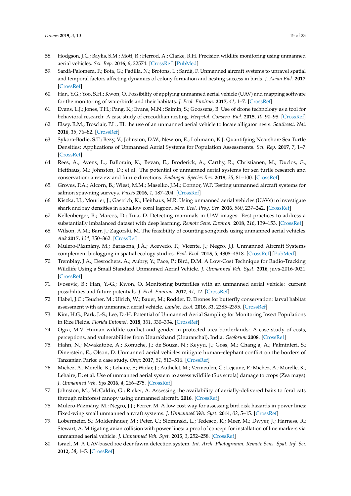- <span id="page-15-19"></span>58. Hodgson, J.C.; Baylis, S.M.; Mott, R.; Herrod, A.; Clarke, R.H. Precision wildlife monitoring using unmanned aerial vehicles. *Sci. Rep.* **2016**, *6*, 22574. [\[CrossRef\]](http://dx.doi.org/10.1038/srep22574) [\[PubMed\]](http://www.ncbi.nlm.nih.gov/pubmed/26986721)
- 59. Sardà-Palomera, F.; Bota, G.; Padilla, N.; Brotons, L.; Sardà, F. Unmanned aircraft systems to unravel spatial and temporal factors affecting dynamics of colony formation and nesting success in birds. *J. Avian Biol.* **2017**. [\[CrossRef\]](http://dx.doi.org/10.1111/jav.01535)
- <span id="page-15-0"></span>60. Han, Y.G.; Yoo, S.H.; Kwon, O. Possibility of applying unmanned aerial vehicle (UAV) and mapping software for the monitoring of waterbirds and their habitats. *J. Ecol. Environ.* **2017**, *41*, 1–7. [\[CrossRef\]](http://dx.doi.org/10.1186/s41610-017-0040-5)
- <span id="page-15-1"></span>61. Evans, L.J.; Jones, T.H.; Pang, K.; Evans, M.N.; Saimin, S.; Goossens, B. Use of drone technology as a tool for behavioral research: A case study of crocodilian nesting. *Herpetol. Conserv. Biol.* **2015**, *10*, 90–98. [\[CrossRef\]](http://dx.doi.org/10.3233/978-1-61499-432-9-895)
- 62. Elsey, R.M.; Trosclair, P.L., III. the use of an unmanned aerial vehicle to locate alligator nests. *Southeast. Nat.* **2016**, *15*, 76–82. [\[CrossRef\]](http://dx.doi.org/10.1656/058.015.0106)
- 63. Sykora-Bodie, S.T.; Bezy, V.; Johnston, D.W.; Newton, E.; Lohmann, K.J. Quantifying Nearshore Sea Turtle Densities: Applications of Unmanned Aerial Systems for Population Assessments. *Sci. Rep.* **2017**, *7*, 1–7. [\[CrossRef\]](http://dx.doi.org/10.1038/s41598-017-17719-x)
- <span id="page-15-2"></span>64. Rees, A.; Avens, L.; Ballorain, K.; Bevan, E.; Broderick, A.; Carthy, R.; Christianen, M.; Duclos, G.; Heithaus, M.; Johnston, D.; et al. The potential of unmanned aerial systems for sea turtle research and conservation: a review and future directions. *Endanger. Species Res.* **2018**, *35*, 81–100. [\[CrossRef\]](http://dx.doi.org/10.3354/esr00877)
- <span id="page-15-3"></span>65. Groves, P.A.; Alcorn, B.; Wiest, M.M.; Maselko, J.M.; Connor, W.P. Testing unmanned aircraft systems for salmon spawning surveys. *Facets* **2016**, *1*, 187–204. [\[CrossRef\]](http://dx.doi.org/10.1139/facets-2016-0019)
- <span id="page-15-4"></span>66. Kiszka, J.J.; Mourier, J.; Gastrich, K.; Heithaus, M.R. Using unmanned aerial vehicles (UAVs) to investigate shark and ray densities in a shallow coral lagoon. *Mar. Ecol. Prog. Ser.* **2016**, *560*, 237–242. [\[CrossRef\]](http://dx.doi.org/10.3354/meps11945)
- <span id="page-15-5"></span>67. Kellenberger, B.; Marcos, D.; Tuia, D. Detecting mammals in UAV images: Best practices to address a substantially imbalanced dataset with deep learning. *Remote Sens. Environ.* **2018**, *216*, 139–153. [\[CrossRef\]](http://dx.doi.org/10.1016/j.rse.2018.06.028)
- <span id="page-15-6"></span>68. Wilson, A.M.; Barr, J.; Zagorski, M. The feasibility of counting songbirds using unmanned aerial vehicles. *Auk* **2017**, *134*, 350–362. [\[CrossRef\]](http://dx.doi.org/10.1642/AUK-16-216.1)
- <span id="page-15-7"></span>69. Mulero-Pázmány, M.; Barasona, J.Á.; Acevedo, P.; Vicente, J.; Negro, J.J. Unmanned Aircraft Systems complement biologging in spatial ecology studies. *Ecol. Evol.* **2015**, *5*, 4808–4818. [\[CrossRef\]](http://dx.doi.org/10.1002/ece3.1744) [\[PubMed\]](http://www.ncbi.nlm.nih.gov/pubmed/26640661)
- <span id="page-15-8"></span>70. Tremblay, J.A.; Desrochers, A.; Aubry, Y.; Pace, P.; Bird, D.M. A Low-Cost Technique for Radio-Tracking Wildlife Using a Small Standard Unmanned Aerial Vehicle. *J. Unmanned Veh. Syst.* **2016**, juvs-2016-0021. [\[CrossRef\]](http://dx.doi.org/10.1139/juvs-2016-0021)
- <span id="page-15-9"></span>71. Ivosevic, B.; Han, Y.-G.; Kwon, O. Monitoring butterflies with an unmanned aerial vehicle: current possibilities and future potentials. *J. Ecol. Environ.* **2017**, *41*, 12. [\[CrossRef\]](http://dx.doi.org/10.1186/s41610-017-0028-1)
- <span id="page-15-10"></span>72. Habel, J.C.; Teucher, M.; Ulrich, W.; Bauer, M.; Rödder, D. Drones for butterfly conservation: larval habitat assessment with an unmanned aerial vehicle. *Landsc. Ecol.* **2016**, *31*, 2385–2395. [\[CrossRef\]](http://dx.doi.org/10.1007/s10980-016-0409-3)
- <span id="page-15-11"></span>73. Kim, H.G.; Park, J.-S.; Lee, D.-H. Potential of Unmanned Aerial Sampling for Monitoring Insect Populations in Rice Fields. *Florida Entomol.* **2018**, *101*, 330–334. [\[CrossRef\]](http://dx.doi.org/10.1653/024.101.0229)
- <span id="page-15-12"></span>74. Ogra, M.V. Human-wildlife conflict and gender in protected area borderlands: A case study of costs, perceptions, and vulnerabilities from Uttarakhand (Uttaranchal), India. *Geoforum* **2008**. [\[CrossRef\]](http://dx.doi.org/10.1016/j.geoforum.2007.12.004)
- <span id="page-15-13"></span>75. Hahn, N.; Mwakatobe, A.; Konuche, J.; de Souza, N.; Keyyu, J.; Goss, M.; Chang'a, A.; Palminteri, S.; Dinerstein, E.; Olson, D. Unmanned aerial vehicles mitigate human–elephant conflict on the borders of Tanzanian Parks: a case study. *Oryx* **2017**, *51*, 513–516. [\[CrossRef\]](http://dx.doi.org/10.1017/S0030605316000946)
- <span id="page-15-14"></span>76. Michez, A.; Morelle, K.; Lehaire, F.; Widar, J.; Authelet, M.; Vermeulen, C.; Lejeune, P.; Michez, A.; Morelle, K.; Lehaire, F.; et al. Use of unmanned aerial system to assess wildlife (Sus scrofa) damage to crops (Zea mays). *J. Unmanned Veh. Sys* **2016**, *4*, 266–275. [\[CrossRef\]](http://dx.doi.org/10.1139/juvs-2016-0014)
- <span id="page-15-15"></span>77. Johnston, M.; McCaldin, G.; Rieker, A. Assessing the availability of aerially-delivered baits to feral cats through rainforest canopy using unmanned aircraft. **2016**. [\[CrossRef\]](http://dx.doi.org/10.1139/juvs-2016-0012)
- <span id="page-15-16"></span>78. Mulero-Pázmány, M.; Negro, J.J.; Ferrer, M. A low cost way for assessing bird risk hazards in power lines: Fixed-wing small unmanned aircraft systems. *J. Unmanned Veh. Syst.* **2014**, *02*, 5–15. [\[CrossRef\]](http://dx.doi.org/10.1139/juvs-2013-0012)
- <span id="page-15-17"></span>79. Lobermeier, S.; Moldenhauer, M.; Peter, C.; Slominski, L.; Tedesco, R.; Meer, M.; Dwyer, J.; Harness, R.; Stewart, A. Mitigating avian collision with power lines: a proof of concept for installation of line markers via unmanned aerial vehicle. *J. Unmanned Veh. Syst.* **2015**, *3*, 252–258. [\[CrossRef\]](http://dx.doi.org/10.1139/juvs-2015-0009)
- <span id="page-15-18"></span>80. Israel, M. A UAV-based roe deer fawm detection system. *Int. Arch. Photogramm. Remote Sens. Spat. Inf. Sci.* **2012**, *38*, 1–5. [\[CrossRef\]](http://dx.doi.org/10.5194/isprsarchives-XXXVIII-1-C22-51-2011)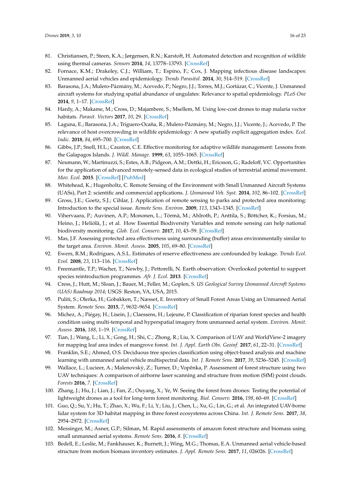- <span id="page-16-0"></span>81. Christiansen, P.; Steen, K.A.; Jørgensen, R.N.; Karstoft, H. Automated detection and recognition of wildlife using thermal cameras. *Sensors* **2014**, *14*, 13778–13793. [\[CrossRef\]](http://dx.doi.org/10.3390/s140813778)
- <span id="page-16-1"></span>82. Fornace, K.M.; Drakeley, C.J.; William, T.; Espino, F.; Cox, J. Mapping infectious disease landscapes: Unmanned aerial vehicles and epidemiology. *Trends Parasitol.* **2014**, *30*, 514–519. [\[CrossRef\]](http://dx.doi.org/10.1016/j.pt.2014.09.001)
- 83. Barasona, J.A.; Mulero-Pázmány, M.; Acevedo, P.; Negro, J.J.; Torres, M.J.; Gortázar, C.; Vicente, J. Unmanned aircraft systems for studying spatial abundance of ungulates: Relevance to spatial epidemiology. *PLoS One* **2014**, *9*, 1–17. [\[CrossRef\]](http://dx.doi.org/10.1371/journal.pone.0115608)
- 84. Hardy, A.; Makame, M.; Cross, D.; Majambere, S.; Msellem, M. Using low-cost drones to map malaria vector habitats. *Parasit. Vectors* **2017**, *10*, 29. [\[CrossRef\]](http://dx.doi.org/10.1186/s13071-017-1973-3)
- <span id="page-16-2"></span>85. Laguna, E.; Barasona, J.A.; Triguero-Ocaña, R.; Mulero-Pázmány, M.; Negro, J.J.; Vicente, J.; Acevedo, P. The relevance of host overcrowding in wildlife epidemiology: A new spatially explicit aggregation index. *Ecol. Indic.* **2018**, *84*, 695–700. [\[CrossRef\]](http://dx.doi.org/10.1016/j.ecolind.2017.09.039)
- <span id="page-16-3"></span>86. Gibbs, J.P.; Snell, H.L.; Causton, C.E. Effective monitoring for adaptive wildlife management: Lessons from the Galapagos Islands. *J. Wildl. Manage.* **1999**, *63*, 1055–1065. [\[CrossRef\]](http://dx.doi.org/10.2307/3802825)
- <span id="page-16-4"></span>87. Neumann, W.; Martinuzzi, S.; Estes, A.B.; Pidgeon, A.M.; Dettki, H.; Ericsson, G.; Radeloff, V.C. Opportunities for the application of advanced remotely-sensed data in ecological studies of terrestrial animal movement. *Mov. Ecol.* **2015**. [\[CrossRef\]](http://dx.doi.org/10.1186/s40462-015-0036-7) [\[PubMed\]](http://www.ncbi.nlm.nih.gov/pubmed/25941571)
- <span id="page-16-5"></span>88. Whitehead, K.; Hugenholtz, C. Remote Sensing of the Environment with Small Unmanned Aircraft Systems (UASs), Part 2: scientific and commercial applications. *J. Unmanned Veh. Syst.* **2014**, *102*, 86–102. [\[CrossRef\]](http://dx.doi.org/10.1139/juvs-2014-0007)
- <span id="page-16-6"></span>89. Gross, J.E.; Goetz, S.J.; Cihlar, J. Application of remote sensing to parks and protected area monitoring: Introduction to the special issue. *Remote Sens. Environ.* **2009**, *113*, 1343–1345. [\[CrossRef\]](http://dx.doi.org/10.1016/j.rse.2008.12.013)
- <span id="page-16-7"></span>90. Vihervaara, P.; Auvinen, A.P.; Mononen, L.; Törmä, M.; Ahlroth, P.; Anttila, S.; Böttcher, K.; Forsius, M.; Heino, J.; Heliölä, J.; et al. How Essential Biodiversity Variables and remote sensing can help national biodiversity monitoring. *Glob. Ecol. Conserv.* **2017**, *10*, 43–59. [\[CrossRef\]](http://dx.doi.org/10.1016/j.gecco.2017.01.007)
- <span id="page-16-8"></span>91. Mas, J.F. Assessing protected area effectiveness using surrounding (buffer) areas environmentally similar to the target area. *Environ. Monit. Assess.* **2005**, *105*, 69–80. [\[CrossRef\]](http://dx.doi.org/10.1007/s10661-005-3156-5)
- <span id="page-16-9"></span>92. Ewers, R.M.; Rodrigues, A.S.L. Estimates of reserve effectiveness are confounded by leakage. *Trends Ecol. Evol.* **2008**, *23*, 113–116. [\[CrossRef\]](http://dx.doi.org/10.1016/j.tree.2007.11.008)
- <span id="page-16-10"></span>93. Freemantle, T.P.; Wacher, T.; Newby, J.; Pettorelli, N. Earth observation: Overlooked potential to support species reintroduction programmes. *Afr. J. Ecol.* **2013**. [\[CrossRef\]](http://dx.doi.org/10.1111/aje.12060)
- <span id="page-16-11"></span>94. Cress, J.; Hutt, M.; Sloan, J.; Bauer, M.; Feller, M.; Goplen, S. *US Geological Survey Unmanned Aircraft Systems (UAS) Roadmap 2014*; USGS: Reston, VA, USA, 2015.
- <span id="page-16-12"></span>95. Puliti, S.; Olerka, H.; Gobakken, T.; Næsset, E. Inventory of Small Forest Areas Using an Unmanned Aerial System. *Remote Sens.* **2015**, *7*, 9632–9654. [\[CrossRef\]](http://dx.doi.org/10.3390/rs70809632)
- <span id="page-16-13"></span>96. Michez, A.; Piégay, H.; Lisein, J.; Claessens, H.; Lejeune, P. Classification of riparian forest species and health condition using multi-temporal and hyperspatial imagery from unmanned aerial system. *Environ. Monit. Assess.* **2016**, *188*, 1–19. [\[CrossRef\]](http://dx.doi.org/10.1007/s10661-015-4996-2)
- <span id="page-16-14"></span>97. Tian, J.; Wang, L.; Li, X.; Gong, H.; Shi, C.; Zhong, R.; Liu, X. Comparison of UAV and WorldView-2 imagery for mapping leaf area index of mangrove forest. *Int. J. Appl. Earth Obs. Geoinf.* **2017**, *61*, 22–31. [\[CrossRef\]](http://dx.doi.org/10.1016/j.jag.2017.05.002)
- <span id="page-16-15"></span>98. Franklin, S.E.; Ahmed, O.S. Deciduous tree species classification using object-based analysis and machine learning with unmanned aerial vehicle multispectral data. *Int. J. Remote Sens.* **2017**, *39*, 5236–5245. [\[CrossRef\]](http://dx.doi.org/10.1080/01431161.2017.1363442)
- <span id="page-16-16"></span>99. Wallace, L.; Lucieer, A.; Malenovskỳ, Z.; Turner, D.; Vopěnka, P. Assessment of forest structure using two UAV techniques: A comparison of airborne laser scanning and structure from motion (SfM) point clouds. *Forests* **2016**, *7*. [\[CrossRef\]](http://dx.doi.org/10.3390/f7030062)
- <span id="page-16-17"></span>100. Zhang, J.; Hu, J.; Lian, J.; Fan, Z.; Ouyang, X.; Ye, W. Seeing the forest from drones: Testing the potential of lightweight drones as a tool for long-term forest monitoring. *Biol. Conserv.* **2016**, *198*, 60–69. [\[CrossRef\]](http://dx.doi.org/10.1016/j.biocon.2016.03.027)
- <span id="page-16-18"></span>101. Guo, Q.; Su, Y.; Hu, T.; Zhao, X.; Wu, F.; Li, Y.; Liu, J.; Chen, L.; Xu, G.; Lin, G.; et al. An integrated UAV-borne lidar system for 3D habitat mapping in three forest ecosystems across China. *Int. J. Remote Sens.* **2017**, *38*, 2954–2972. [\[CrossRef\]](http://dx.doi.org/10.1080/01431161.2017.1285083)
- 102. Messinger, M.; Asner, G.P.; Silman, M. Rapid assessments of amazon forest structure and biomass using small unmanned aerial systems. *Remote Sens.* **2016**, *8*. [\[CrossRef\]](http://dx.doi.org/10.3390/rs8080615)
- 103. Bedell, E.; Leslie, M.; Fankhauser, K.; Burnett, J.; Wing, M.G.; Thomas, E.A. Unmanned aerial vehicle-based structure from motion biomass inventory estimates. *J. Appl. Remote Sens.* **2017**, *11*, 026026. [\[CrossRef\]](http://dx.doi.org/10.1117/1.JRS.11.026026)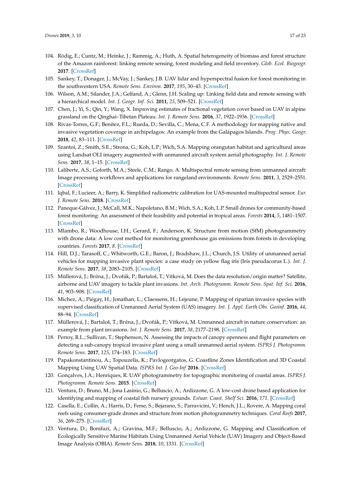- <span id="page-17-0"></span>104. Rödig, E.; Cuntz, M.; Heinke, J.; Rammig, A.; Huth, A. Spatial heterogeneity of biomass and forest structure of the Amazon rainforest: linking remote sensing, forest modeling and field inventory. *Glob. Ecol. Biogeogr.* **2017**. [\[CrossRef\]](http://dx.doi.org/10.1111/geb.12639)
- <span id="page-17-1"></span>105. Sankey, T.; Donager, J.; McVay, J.; Sankey, J.B. UAV lidar and hyperspectral fusion for forest monitoring in the southwestern USA. *Remote Sens. Environ.* **2017**, *195*, 30–43. [\[CrossRef\]](http://dx.doi.org/10.1016/j.rse.2017.04.007)
- <span id="page-17-2"></span>106. Wilson, A.M.; Silander, J.A.; Gelfand, A.; Glenn, J.H. Scaling up: Linking field data and remote sensing with a hierarchical model. *Int. J. Geogr. Inf. Sci.* **2011**, *25*, 509–521. [\[CrossRef\]](http://dx.doi.org/10.1080/13658816.2010.522779)
- <span id="page-17-3"></span>107. Chen, J.; Yi, S.; Qin, Y.; Wang, X. Improving estimates of fractional vegetation cover based on UAV in alpine grassland on the Qinghai–Tibetan Plateau. *Int. J. Remote Sens.* **2016**, *37*, 1922–1936. [\[CrossRef\]](http://dx.doi.org/10.1080/01431161.2016.1165884)
- <span id="page-17-4"></span>108. Rivas-Torres, G.F.; Benítez, F.L.; Rueda, D.; Sevilla, C.; Mena, C.F. A methodology for mapping native and invasive vegetation coverage in archipelagos: An example from the Galápagos Islands. *Prog. Phys. Geogr.* **2018**, *42*, 83–111. [\[CrossRef\]](http://dx.doi.org/10.1177/0309133317752278)
- <span id="page-17-5"></span>109. Szantoi, Z.; Smith, S.E.; Strona, G.; Koh, L.P.; Wich, S.A. Mapping orangutan habitat and agricultural areas using Landsat OLI imagery augmented with unmanned aircraft system aerial photography. *Int. J. Remote Sens.* **2017**, *38*, 1–15. [\[CrossRef\]](http://dx.doi.org/10.1080/01431161.2017.1280638)
- <span id="page-17-6"></span>110. Laliberte, A.S.; Goforth, M.A.; Steele, C.M.; Rango, A. Multispectral remote sensing from unmanned aircraft: Image processing workflows and applications for rangeland environments. *Remote Sens.* **2011**, *3*, 2529–2551. [\[CrossRef\]](http://dx.doi.org/10.3390/rs3112529)
- <span id="page-17-7"></span>111. Iqbal, F.; Lucieer, A.; Barry, K. Simplified radiometric calibration for UAS-mounted multispectral sensor. *Eur. J. Remote Sens.* **2018**. [\[CrossRef\]](http://dx.doi.org/10.1080/22797254.2018.1432293)
- <span id="page-17-8"></span>112. Paneque-Gálvez, J.; McCall, M.K.; Napoletano, B.M.; Wich, S.A.; Koh, L.P. Small drones for community-based forest monitoring: An assessment of their feasibility and potential in tropical areas. *Forests* **2014**, *5*, 1481–1507. [\[CrossRef\]](http://dx.doi.org/10.3390/f5061481)
- <span id="page-17-9"></span>113. Mlambo, R.; Woodhouse, I.H.; Gerard, F.; Anderson, K. Structure from motion (SfM) photogrammetry with drone data: A low cost method for monitoring greenhouse gas emissions from forests in developing countries. *Forests* **2017**, *8*. [\[CrossRef\]](http://dx.doi.org/10.3390/f8030068)
- <span id="page-17-10"></span>114. Hill, D.J.; Tarasoff, C.; Whitworth, G.E.; Baron, J.; Bradshaw, J.L.; Church, J.S. Utility of unmanned aerial vehicles for mapping invasive plant species: a case study on yellow flag iris (Iris pseudacorus L.). *Int. J. Remote Sens.* **2017**, *38*, 2083–2105. [\[CrossRef\]](http://dx.doi.org/10.1080/01431161.2016.1264030)
- 115. Müllerová, J.; Br*u*˚na, J.; Dvoˇrák, P.; Bartaloš, T.; Vítková, M. Does the data resolution/origin matter? Satellite, airborne and UAV imagery to tackle plant invasions. *Int. Arch. Photogramm. Remote Sens. Spat. Inf. Sci.* **2016**, *41*, 903–908. [\[CrossRef\]](http://dx.doi.org/10.5194/isprsarchives-XLI-B7-903-2016)
- 116. Michez, A.; Piégay, H.; Jonathan, L.; Claessens, H.; Lejeune, P. Mapping of riparian invasive species with supervised classification of Unmanned Aerial System (UAS) imagery. *Int. J. Appl. Earth Obs. Geoinf.* **2016**, *44*, 88–94. [\[CrossRef\]](http://dx.doi.org/10.1016/j.jag.2015.06.014)
- 117. Müllerová, J.; Bartaloš, T.; Br*u*˚na, J.; Dvoˇrák, P.; Vítková, M. Unmanned aircraft in nature conservation: an example from plant invasions. *Int. J. Remote Sens.* **2017**, *38*, 2177–2198. [\[CrossRef\]](http://dx.doi.org/10.1080/01431161.2016.1275059)
- <span id="page-17-11"></span>118. Perroy, R.L.; Sullivan, T.; Stephenson, N. Assessing the impacts of canopy openness and flight parameters on detecting a sub-canopy tropical invasive plant using a small unmanned aerial system. *ISPRS J. Photogramm. Remote Sens.* **2017**, *125*, 174–183. [\[CrossRef\]](http://dx.doi.org/10.1016/j.isprsjprs.2017.01.018)
- <span id="page-17-12"></span>119. Papakonstantinou, A.; Topouzelis, K.; Pavlogeorgatos, G. Coastline Zones Identification and 3D Coastal Mapping Using UAV Spatial Data. *ISPRS Int. J. Geo-Inf* **2016**. [\[CrossRef\]](http://dx.doi.org/10.3390/ijgi5060075)
- 120. Gonçalves, J.A.; Henriques, R. UAV photogrammetry for topographic monitoring of coastal areas. *ISPRS J. Photogramm. Remote Sens.* **2015**. [\[CrossRef\]](http://dx.doi.org/10.1016/j.isprsjprs.2015.02.009)
- 121. Ventura, D.; Bruno, M.; Jona Lasinio, G.; Belluscio, A.; Ardizzone, G. A low-cost drone based application for identifying and mapping of coastal fish nursery grounds. *Estuar. Coast. Shelf Sci.* **2016**, *171*. [\[CrossRef\]](http://dx.doi.org/10.1016/j.ecss.2016.01.030)
- 122. Casella, E.; Collin, A.; Harris, D.; Ferse, S.; Bejarano, S.; Parravicini, V.; Hench, J.L.; Rovere, A. Mapping coral reefs using consumer-grade drones and structure from motion photogrammetry techniques. *Coral Reefs* **2017**, *36*, 269–275. [\[CrossRef\]](http://dx.doi.org/10.1007/s00338-016-1522-0)
- 123. Ventura, D.; Bonifazi, A.; Gravina, M.F.; Belluscio, A.; Ardizzone, G. Mapping and Classification of Ecologically Sensitive Marine Habitats Using Unmanned Aerial Vehicle (UAV) Imagery and Object-Based Image Analysis (OBIA). *Remote Sens.* **2018**, *10*, 1331. [\[CrossRef\]](http://dx.doi.org/10.3390/rs10091331)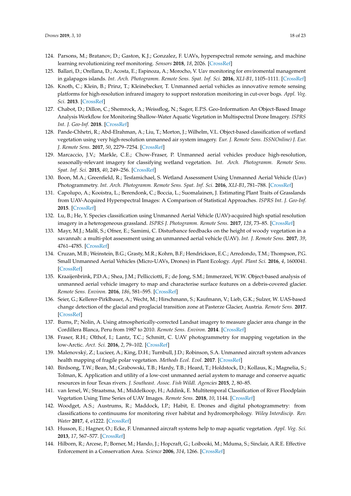- <span id="page-18-15"></span>124. Parsons, M.; Bratanov, D.; Gaston, K.J.; Gonzalez, F. UAVs, hyperspectral remote sensing, and machine learning revolutionizing reef monitoring. *Sensors* **2018**, *18*, 2026. [\[CrossRef\]](http://dx.doi.org/10.3390/s18072026)
- <span id="page-18-0"></span>125. Ballari, D.; Orellana, D.; Acosta, E.; Espinoza, A.; Morocho, V. Uav monitoring for enviromental management in galapagos islands. *Int. Arch. Photogramm. Remote Sens. Spat. Inf. Sci.* **2016**, *XLI-B1*, 1105–1111. [\[CrossRef\]](http://dx.doi.org/10.5194/isprsarchives-XLI-B1-1105-2016)
- <span id="page-18-1"></span>126. Knoth, C.; Klein, B.; Prinz, T.; Kleinebecker, T. Unmanned aerial vehicles as innovative remote sensing platforms for high-resolution infrared imagery to support restoration monitoring in cut-over bogs. *Appl. Veg. Sci.* **2013**. [\[CrossRef\]](http://dx.doi.org/10.1111/avsc.12024)
- 127. Chabot, D.; Dillon, C.; Shemrock, A.; Weissflog, N.; Sager, E.P.S. Geo-Information An Object-Based Image Analysis Workflow for Monitoring Shallow-Water Aquatic Vegetation in Multispectral Drone Imagery. *ISPRS Int. J. Geo-Inf.* **2018**. [\[CrossRef\]](http://dx.doi.org/10.3390/ijgi7080294)
- <span id="page-18-14"></span>128. Pande-Chhetri, R.; Abd-Elrahman, A.; Liu, T.; Morton, J.; Wilhelm, V.L. Object-based classification of wetland vegetation using very high-resolution unmanned air system imagery. *Eur. J. Remote Sens. ISSNOnline) J. Eur. J. Remote Sens.* **2017**, *50*, 2279–7254. [\[CrossRef\]](http://dx.doi.org/10.1080/22797254.2017.1373602)
- 129. Marcaccio, J.V.; Markle, C.E.; Chow-Fraser, P. Unmanned aerial vehicles produce high-resolution, seasonally-relevant imagery for classifying wetland vegetation. *Int. Arch. Photogramm. Remote Sens. Spat. Inf. Sci.* **2015**, *40*, 249–256. [\[CrossRef\]](http://dx.doi.org/10.5194/isprsarchives-XL-1-W4-249-2015)
- <span id="page-18-2"></span>130. Boon, M.A.; Greenfield, R.; Tesfamichael, S. Wetland Assessment Using Unmanned Aerial Vehicle (Uav) Photogrammetry. *Int. Arch. Photogramm. Remote Sens. Spat. Inf. Sci.* **2016**, *XLI-B1*, 781–788. [\[CrossRef\]](http://dx.doi.org/10.5194/isprsarchives-XLI-B1-781-2016)
- <span id="page-18-3"></span>131. Capolupo, A.; Kooistra, L.; Berendonk, C.; Boccia, L.; Suomalainen, J. Estimating Plant Traits of Grasslands from UAV-Acquired Hyperspectral Images: A Comparison of Statistical Approaches. *ISPRS Int. J. Geo-Inf.* **2015**. [\[CrossRef\]](http://dx.doi.org/10.3390/ijgi4042792)
- <span id="page-18-4"></span>132. Lu, B.; He, Y. Species classification using Unmanned Aerial Vehicle (UAV)-acquired high spatial resolution imagery in a heterogeneous grassland. *ISPRS J. Photogramm. Remote Sens.* **2017**, *128*, 73–85. [\[CrossRef\]](http://dx.doi.org/10.1016/j.isprsjprs.2017.03.011)
- <span id="page-18-5"></span>133. Mayr, M.J.; Malß, S.; Ofner, E.; Samimi, C. Disturbance feedbacks on the height of woody vegetation in a savannah: a multi-plot assessment using an unmanned aerial vehicle (UAV). *Int. J. Remote Sens.* **2017**, *39*, 4761–4785. [\[CrossRef\]](http://dx.doi.org/10.1080/01431161.2017.1362132)
- <span id="page-18-6"></span>134. Cruzan, M.B.; Weinstein, B.G.; Grasty, M.R.; Kohrn, B.F.; Hendrickson, E.C.; Arredondo, T.M.; Thompson, P.G. Small Unmanned Aerial Vehicles (Micro-UAVs, Drones) in Plant Ecology. *Appl. Plant Sci.* **2016**, *4*, 1600041. [\[CrossRef\]](http://dx.doi.org/10.3732/apps.1600041)
- <span id="page-18-7"></span>135. Kraaijenbrink, P.D.A.; Shea, J.M.; Pellicciotti, F.; de Jong, S.M.; Immerzeel, W.W. Object-based analysis of unmanned aerial vehicle imagery to map and characterise surface features on a debris-covered glacier. *Remote Sens. Environ.* **2016**, *186*, 581–595. [\[CrossRef\]](http://dx.doi.org/10.1016/j.rse.2016.09.013)
- 136. Seier, G.; Kellerer-Pirklbauer, A.; Wecht, M.; Hirschmann, S.; Kaufmann, V.; Lieb, G.K.; Sulzer, W. UAS-based change detection of the glacial and proglacial transition zone at Pasterze Glacier, Austria. *Remote Sens.* **2017**. [\[CrossRef\]](http://dx.doi.org/10.3390/rs9060549)
- <span id="page-18-8"></span>137. Burns, P.; Nolin, A. Using atmospherically-corrected Landsat imagery to measure glacier area change in the Cordillera Blanca, Peru from 1987 to 2010. *Remote Sens. Environ.* **2014**. [\[CrossRef\]](http://dx.doi.org/10.1016/j.rse.2013.08.026)
- <span id="page-18-9"></span>138. Fraser, R.H.; Olthof, I.; Lantz, T.C.; Schmitt, C. UAV photogrammetry for mapping vegetation in the low-Arctic. *Arct. Sci.* **2016**, *2*, 79–102. [\[CrossRef\]](http://dx.doi.org/10.1139/as-2016-0008)
- <span id="page-18-10"></span>139. Malenovský, Z.; Lucieer, A.; King, D.H.; Turnbull, J.D.; Robinson, S.A. Unmanned aircraft system advances health mapping of fragile polar vegetation. *Methods Ecol. Evol.* **2017**. [\[CrossRef\]](http://dx.doi.org/10.1111/2041-210X.12833)
- <span id="page-18-11"></span>140. Birdsong, T.W.; Bean, M.; Grabowski, T.B.; Hardy, T.B.; Heard, T.; Holdstock, D.; Kollaus, K.; Magnelia, S.; Tolman, K. Application and utility of a low-cost unmanned aerial aystem to manage and conserve aquatic resources in four Texas rivers. *J. Southeast. Assoc. Fish Wildl. Agencies* **2015**, *2*, 80–85.
- 141. van Iersel, W.; Straatsma, M.; Middelkoop, H.; Addink, E. Multitemporal Classification of River Floodplain Vegetation Using Time Series of UAV Images. *Remote Sens.* **2018**, *10*, 1144. [\[CrossRef\]](http://dx.doi.org/10.3390/rs10071144)
- 142. Woodget, A.S.; Austrums, R.; Maddock, I.P.; Habit, E. Drones and digital photogrammetry: from classifications to continuums for monitoring river habitat and hydromorphology. *Wiley Interdiscip. Rev. Water* **2017**, *4*, e1222. [\[CrossRef\]](http://dx.doi.org/10.1002/wat2.1222)
- <span id="page-18-12"></span>143. Husson, E.; Hagner, O.; Ecke, F. Unmanned aircraft systems help to map aquatic vegetation. *Appl. Veg. Sci.* **2013**, *17*, 567–577. [\[CrossRef\]](http://dx.doi.org/10.1111/avsc.12072)
- <span id="page-18-13"></span>144. Hilborn, R.; Arcese, P.; Borner, M.; Hando, J.; Hopcraft, G.; Loibooki, M.; Mduma, S.; Sinclair, A.R.E. Effective Enforcement in a Conservation Area. *Science* **2006**, *314*, 1266. [\[CrossRef\]](http://dx.doi.org/10.1126/science.1132780)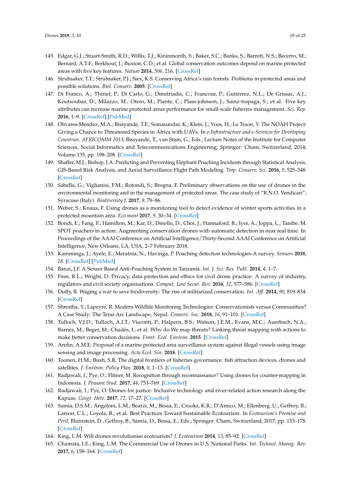- <span id="page-19-0"></span>145. Edgar, G.J.; Stuart-Smith, R.D.; Willis, T.J.; Kininmonth, S.; Baker, S.C.; Banks, S.; Barrett, N.S.; Becerro, M.; Bernard, A.T.F.; Berkhout, J.; Buxton, C.D.; et al. Global conservation outcomes depend on marine protected areas with five key features. *Nature* **2014**, *506*, 216. [\[CrossRef\]](http://dx.doi.org/10.1038/nature13022)
- <span id="page-19-1"></span>146. Struhsaker, T.T.; Struhsaker, P.J.; Siex, K.S. Conserving Africa's rain forests: Problems in protected areas and possible solutions. *Biol. Conserv.* **2005**. [\[CrossRef\]](http://dx.doi.org/10.1016/j.biocon.2004.10.007)
- <span id="page-19-2"></span>147. Di Franco, A.; Thiriet, P.; Di Carlo, G.; Dimitriadis, C.; Francour, P.; Gutiérrez, N.L.; De Grissac, A.J.; Koutsoubas, D.; Milazzo, M.; Otero, M.; Piante, C.; Plass-johnson, J.; Sainz-trapaga, S.; et al. Five key attributes can increase marine protected areas performance for small-scale fisheries management. *Sci. Rep.* **2016**, 1–9. [\[CrossRef\]](http://dx.doi.org/10.1038/srep38135) [\[PubMed\]](http://www.ncbi.nlm.nih.gov/pubmed/27905533)
- 148. Olivares-Mendez, M.A.; Bissyandé, T.F.; Somasundar, K.; Klein, J.; Voos, H.; Le Traon, Y. The NOAH Project: Giving a Chance to Threatened Species in Africa with UAVs. In *e-Infrastructure and e-Services for Developing Countries. AFRICOMM 2013*; Bissyandé, T., van Stam, G., Eds.; Lecture Notes of the Institute for Computer Sciences, Social Informatics and Telecommunications Engineering; Springer: Cham, Switzerland, 2014; Volume 135, pp. 198–208. [\[CrossRef\]](http://dx.doi.org/10.1007/978-3-319-08368-1_24)
- <span id="page-19-3"></span>149. Shaffer, M.J.; Bishop, J.A. Predicting and Preventing Elephant Poaching Incidents through Statistical Analysis, GIS-Based Risk Analysis, and Aerial Surveillance Flight Path Modeling. *Trop. Conserv. Sci.* **2016**, *9*, 525–548. [\[CrossRef\]](http://dx.doi.org/10.1177/194008291600900127)
- <span id="page-19-4"></span>150. Sabella, G.; Viglianisi, F.M.; Rotondi, S.; Brogna, F. Preliminary observations on the use of drones in the environmental monitoring and in the management of protected areas. The case study of "R.N.O. Vendicari", Syracuse (Italy). *Biodiversity J.* **2017**, *8*, 79–86.
- <span id="page-19-5"></span>151. Weber, S.; Knaus, F. Using drones as a monitoring tool to detect evidence of winter sports activities in a protected mountain area. *Eco.mont* **2017**, *9*, 30–34. [\[CrossRef\]](http://dx.doi.org/10.1553/eco.mont-9-1s30)
- <span id="page-19-6"></span>152. Bondi, E.; Fang, F.; Hamilton, M.; Kar, D.; Dmello, D.; Choi, J.; Hannaford, R.; Iyer, A.; Joppa, L.; Tambe, M. SPOT poachers in action: Augmenting conservation drones with automatic detection in near real time. In Proceedings of the AAAI Conference on Artificial Intelligence/Thirty-Second AAAI Conference on Artificial Intelligence, New Orleans, LA, USA, 2–7 February 2018.
- <span id="page-19-7"></span>153. Kamminga, J.; Ayele, E.; Meratnia, N.; Havinga, P. Poaching detection technologies-A survey. *Sensors* **2018**, *18*. [\[CrossRef\]](http://dx.doi.org/10.3390/s18051474) [\[PubMed\]](http://www.ncbi.nlm.nih.gov/pubmed/29738501)
- <span id="page-19-8"></span>154. Banzi, J.F. A Sensor Based Anti-Poaching System in Tanzania. *Int. J. Sci. Res. Publ.* **2014**, *4*, 1–7.
- <span id="page-19-9"></span>155. Finn, R.L.; Wright, D. Privacy, data protection and ethics for civil drone practice: A survey of industry, regulators and civil society organisations. *Comput. Law Secur. Rev.* **2016**, *32*, 577–586. [\[CrossRef\]](http://dx.doi.org/10.1016/j.clsr.2016.05.010)
- <span id="page-19-10"></span>156. Duffy, R. Waging a war to save biodiversity: The rise of militarized conservation. *Int. Aff.* **2014**, *90*, 819–834. [\[CrossRef\]](http://dx.doi.org/10.1111/1468-2346.12142)
- <span id="page-19-11"></span>157. Shrestha, Y.; Lapeyre, R. Modern Wildlife Monitoring Technologies: Conservationists versus Communities? A Case Study: The Terai-Arc Landscape, Nepal. *Conserv. Soc.* **2018**, *16*, 91–101. [\[CrossRef\]](http://dx.doi.org/10.4103/cs.cs_16_83)
- <span id="page-19-12"></span>158. Tulloch, V.J.D.; Tulloch, A.I.T.; Visconti, P.; Halpern, B.S.; Watson, J.E.M.; Evans, M.C.; Auerbach, N.A.; Barnes, M.; Beger, M.; Chadès, I.; et al. Why do We map threats? Linking threat mapping with actions to make better conservation decisions. *Front. Ecol. Environ.* **2015**. [\[CrossRef\]](http://dx.doi.org/10.1890/140022)
- <span id="page-19-13"></span>159. Arefin, A.M.E. Proposal of a marine protected area surveillance system against illegal vessels using image sensing and image processing. *Acta Ecol. Sin.* **2018**. [\[CrossRef\]](http://dx.doi.org/10.1016/j.chnaes.2017.06.015)
- <span id="page-19-14"></span>160. Toonen, H.M.; Bush, S.R. The digital frontiers of fisheries governance: fish attraction devices, drones and satellites. *J. Environ. Policy Plan.* **2018**, *0*, 1–13. [\[CrossRef\]](http://dx.doi.org/10.1080/1523908X.2018.1461084)
- <span id="page-19-15"></span>161. Radjawali, I.; Pye, O.; Flitner, M. Recognition through reconnaissance? Using drones for counter-mapping in Indonesia. *J. Peasant Stud.* **2017**, *44*, 753–769. [\[CrossRef\]](http://dx.doi.org/10.1080/03066150.2016.1264937)
- <span id="page-19-16"></span>162. Radjawali, I.; Pye, O. Drones for justice: Inclusive technology and river-related action research along the Kapuas. *Geogr. Helv.* **2017**, *72*, 17–27. [\[CrossRef\]](http://dx.doi.org/10.5194/gh-72-17-2017)
- <span id="page-19-17"></span>163. Samia, D.S.M.; Angeloni, L.M.; Bearzi, M.; Bessa, E.; Crooks, K.R.; D'Amico, M.; Ellenberg, U.; Geffroy, B.; Larson, C.L.; Loyola, R.; et al. Best Practices Toward Sustainable Ecotourism. In *Ecotourism's Promise and Peril*; Blumstein, D., Geffroy, B., Samia, D., Bessa, E., Eds.; Springer: Cham, Switzerland, 2017; pp. 153–178. [\[CrossRef\]](http://dx.doi.org/10.1007/978-3-319-58331-0)
- <span id="page-19-18"></span>164. King, L.M. Will drones revolutionise ecotourism? *J. Ecotourism* **2014**, *13*, 85–92. [\[CrossRef\]](http://dx.doi.org/10.1080/14724049.2014.948448)
- <span id="page-19-19"></span>165. Chamata, J.E.; King, L.M. The Commercial Use of Drones in U.S. National Parks. *Int. Technol. Manag. Rev.* **2017**, *6*, 158–164. [\[CrossRef\]](http://dx.doi.org/10.2991/itmr.2017.6.4.4)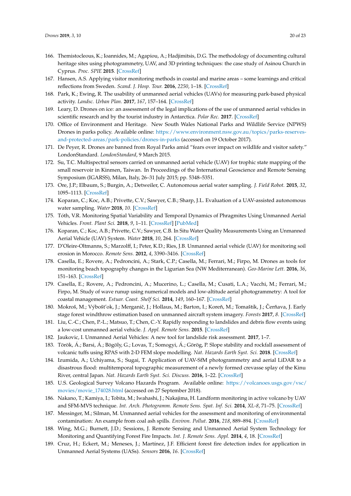- <span id="page-20-0"></span>166. Themistocleous, K.; Ioannides, M.; Agapiou, A.; Hadjimitsis, D.G. The methodology of documenting cultural heritage sites using photogrammetry, UAV, and 3D printing techniques: the case study of Asinou Church in Cyprus. *Proc. SPIE* **2015**. [\[CrossRef\]](http://dx.doi.org/10.1117/12.2195626)
- <span id="page-20-1"></span>167. Hansen, A.S. Applying visitor monitoring methods in coastal and marine areas – some learnings and critical reflections from Sweden. *Scand. J. Hosp. Tour.* **2016**, *2250*, 1–18. [\[CrossRef\]](http://dx.doi.org/10.1080/15022250.2016.1155481)
- <span id="page-20-2"></span>168. Park, K.; Ewing, R. The usability of unmanned aerial vehicles (UAVs) for measuring park-based physical activity. *Landsc. Urban Plan.* **2017**, *167*, 157–164. [\[CrossRef\]](http://dx.doi.org/10.1016/j.landurbplan.2017.06.010)
- <span id="page-20-3"></span>169. Leary, D. Drones on ice: an assessment of the legal implications of the use of unmanned aerial vehicles in scientific research and by the tourist industry in Antarctica. *Polar Rec.* **2017**. [\[CrossRef\]](http://dx.doi.org/10.1017/S0032247417000262)
- <span id="page-20-4"></span>170. Office of Environment and Heritage. New South Wales National Parks and Wildlife Service (NPWS) Drones in parks policy. Available online: [https://www.environment.nsw.gov.au/topics/parks-reserves](https://www.environment.nsw.gov.au/topics/parks-reserves-and-protected-areas/park-policies/drones-in-parks)[and-protected-areas/park-policies/drones-in-parks](https://www.environment.nsw.gov.au/topics/parks-reserves-and-protected-areas/park-policies/drones-in-parks) (accessed on 19 October 2017).
- <span id="page-20-5"></span>171. De Peyer, R. Drones are banned from Royal Parks amid "fears over impact on wildlife and visitor safety." LondonStandard. *LondonStandard*, 9 March 2015.
- <span id="page-20-6"></span>172. Su, T.C. Multispectral sensors carried on unmanned aerial vehicle (UAV) for trophic state mapping of the small reservoir in Kinmen, Taiwan. In Proceedings of the International Geoscience and Remote Sensing Symposium (IGARSS), Milan, Italy, 26–31 July 2015; pp. 5348–5351.
- <span id="page-20-19"></span>173. Ore, J.P.; Elbaum, S.; Burgin, A.; Detweiler, C. Autonomous aerial water sampling. *J. Field Robot.* **2015**, *32*, 1095–1113. [\[CrossRef\]](http://dx.doi.org/10.1002/rob.21591)
- 174. Koparan, C.; Koc, A.B.; Privette, C.V.; Sawyer, C.B.; Sharp, J.L. Evaluation of a UAV-assisted autonomous water sampling. *Water* **2018**, *10*. [\[CrossRef\]](http://dx.doi.org/10.3390/w10050655)
- 175. Tóth, V.R. Monitoring Spatial Variability and Temporal Dynamics of Phragmites Using Unmanned Aerial Vehicles. *Front. Plant Sci.* **2018**, *9*, 1–11. [\[CrossRef\]](http://dx.doi.org/10.3389/fpls.2018.00728) [\[PubMed\]](http://www.ncbi.nlm.nih.gov/pubmed/29915608)
- <span id="page-20-7"></span>176. Koparan, C.; Koc, A.B.; Privette, C.V.; Sawyer, C.B. In Situ Water Quality Measurements Using an Unmanned Aerial Vehicle (UAV) System. *Water* **2018**, *10*, 264. [\[CrossRef\]](http://dx.doi.org/10.3390/w10030264)
- <span id="page-20-8"></span>177. D'Oleire-Oltmanns, S.; Marzolff, I.; Peter, K.D.; Ries, J.B. Unmanned aerial vehicle (UAV) for monitoring soil erosion in Morocco. *Remote Sens.* **2012**, *4*, 3390–3416. [\[CrossRef\]](http://dx.doi.org/10.3390/rs4113390)
- <span id="page-20-9"></span>178. Casella, E.; Rovere, A.; Pedroncini, A.; Stark, C.P.; Casella, M.; Ferrari, M.; Firpo, M. Drones as tools for monitoring beach topography changes in the Ligurian Sea (NW Mediterranean). *Geo-Marine Lett.* **2016**, *36*, 151–163. [\[CrossRef\]](http://dx.doi.org/10.1007/s00367-016-0435-9)
- <span id="page-20-10"></span>179. Casella, E.; Rovere, A.; Pedroncini, A.; Mucerino, L.; Casella, M.; Cusati, L.A.; Vacchi, M.; Ferrari, M.; Firpo, M. Study of wave runup using numerical models and low-altitude aerial photogrammetry: A tool for coastal management. *Estuar. Coast. Shelf Sci.* **2014**, *149*, 160–167. [\[CrossRef\]](http://dx.doi.org/10.1016/j.ecss.2014.08.012)
- <span id="page-20-11"></span>180. Mokroš, M.; Výbošťok, J.; Merganič, J.; Hollaus, M.; Barton, I.; Koreň, M.; Tomaštík, J.; Čerňava, J. Early stage forest windthrow estimation based on unmanned aircraft system imagery. *Forests* **2017**, *8*. [\[CrossRef\]](http://dx.doi.org/10.3390/f8090306)
- <span id="page-20-12"></span>181. Liu, C.-C.; Chen, P.-L.; Matsuo, T.; Chen, C.-Y. Rapidly responding to landslides and debris flow events using a low-cost unmanned aerial vehicle. *J. Appl. Remote Sens.* **2015**. [\[CrossRef\]](http://dx.doi.org/10.1117/1.JRS.9.096016)
- 182. Jaukovic, I. Unmanned Aerial Vehicles: A new tool for landslide risk assessment. **2017**, 1–7.
- <span id="page-20-13"></span>183. Török, Á.; Barsi, Á.; Bögöly, G.; Lovas, T.; Somogyi, Á.; Görög, P. Slope stability and rockfall assessment of volcanic tuffs using RPAS with 2-D FEM slope modelling. *Nat. Hazards Earth Syst. Sci.* **2018**. [\[CrossRef\]](http://dx.doi.org/10.5194/nhess-18-583-2018)
- <span id="page-20-14"></span>184. Izumida, A.; Uchiyama, S.; Sugai, T. Application of UAV-SfM photogrammetry and aerial LiDAR to a disastrous flood: multitemporal topographic measurement of a newly formed crevasse splay of the Kinu River, central Japan. *Nat. Hazards Earth Syst. Sci. Discuss.* **2016**, 1–22. [\[CrossRef\]](http://dx.doi.org/10.5194/nhess-2017-42)
- <span id="page-20-15"></span>185. U.S. Geological Survey Volcano Hazards Program. Available online: [https://volcanoes.usgs.gov/vsc/](https://volcanoes.usgs.gov/vsc/movies/movie_174028.html) [movies/movie\\_174028.html](https://volcanoes.usgs.gov/vsc/movies/movie_174028.html) (accessed on 27 September 2018).
- <span id="page-20-16"></span>186. Nakano, T.; Kamiya, I.; Tobita, M.; Iwahashi, J.; Nakajima, H. Landform monitoring in active volcano by UAV and SFM-MVS technique. *Int. Arch. Photogramm. Remote Sens. Spat. Inf. Sci.* **2014**, *XL-8*, 71–75. [\[CrossRef\]](http://dx.doi.org/10.5194/isprsarchives-XL-8-71-2014)
- <span id="page-20-17"></span>187. Messinger, M.; Silman, M. Unmanned aerial vehicles for the assessment and monitoring of environmental contamination: An example from coal ash spills. *Environ. Pollut.* **2016**, *218*, 889–894. [\[CrossRef\]](http://dx.doi.org/10.1016/j.envpol.2016.08.019)
- <span id="page-20-18"></span>188. Wing, M.G.; Burnett, J.D.; Sessions, J. Remote Sensing and Unmanned Aerial System Technology for Monitoring and Quantifying Forest Fire Impacts. *Int. J. Remote Sens. Appl.* **2014**, *4*, 18. [\[CrossRef\]](http://dx.doi.org/10.14355/ijrsa.2014.0401.02)
- 189. Cruz, H.; Eckert, M.; Meneses, J.; Martínez, J.F. Efficient forest fire detection index for application in Unmanned Aerial Systems (UASs). *Sensors* **2016**, *16*. [\[CrossRef\]](http://dx.doi.org/10.3390/s16060893)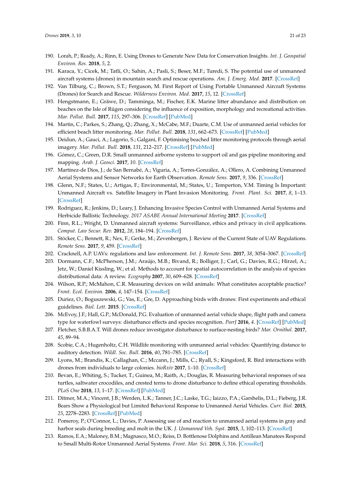- <span id="page-21-0"></span>190. Lorah, P.; Ready, A.; Rinn, E. Using Drones to Generate New Data for Conservation Insights. *Int. J. Geospatial Environ. Res.* **2018**, *5*, 2.
- <span id="page-21-1"></span>191. Karaca, Y.; Cicek, M.; Tatli, O.; Sahin, A.; Pasli, S.; Beser, M.F.; Turedi, S. The potential use of unmanned aircraft systems (drones) in mountain search and rescue operations. *Am. J. Emerg. Med.* **2017**. [\[CrossRef\]](http://dx.doi.org/10.1016/j.ajem.2017.09.025)
- <span id="page-21-2"></span>192. Van Tilburg, C.; Brown, S.T.; Ferguson, M. First Report of Using Portable Unmanned Aircraft Systems (Drones) for Search and Rescue. *Wilderness Environ. Med.* **2017**, *15*, 12. [\[CrossRef\]](http://dx.doi.org/10.1016/j.wem.2016.12.010)
- <span id="page-21-3"></span>193. Hengstmann, E.; Gräwe, D.; Tamminga, M.; Fischer, E.K. Marine litter abundance and distribution on beaches on the Isle of Rügen considering the influence of exposition, morphology and recreational activities. *Mar. Pollut. Bull.* **2017**, *115*, 297–306. [\[CrossRef\]](http://dx.doi.org/10.1016/j.marpolbul.2016.12.026) [\[PubMed\]](http://www.ncbi.nlm.nih.gov/pubmed/27993369)
- 194. Martin, C.; Parkes, S.; Zhang, Q.; Zhang, X.; McCabe, M.F.; Duarte, C.M. Use of unmanned aerial vehicles for efficient beach litter monitoring. *Mar. Pollut. Bull.* **2018**, *131*, 662–673. [\[CrossRef\]](http://dx.doi.org/10.1016/j.marpolbul.2018.04.045) [\[PubMed\]](http://www.ncbi.nlm.nih.gov/pubmed/29886994)
- <span id="page-21-4"></span>195. Deidun, A.; Gauci, A.; Lagorio, S.; Galgani, F. Optimising beached litter monitoring protocols through aerial imagery. *Mar. Pollut. Bull.* **2018**, *131*, 212–217. [\[CrossRef\]](http://dx.doi.org/10.1016/j.marpolbul.2018.04.033) [\[PubMed\]](http://www.ncbi.nlm.nih.gov/pubmed/29886939)
- <span id="page-21-5"></span>196. Gómez, C.; Green, D.R. Small unmanned airborne systems to support oil and gas pipeline monitoring and mapping. *Arab. J. Geosci.* **2017**, *10*. [\[CrossRef\]](http://dx.doi.org/10.1007/s12517-017-2989-x)
- <span id="page-21-6"></span>197. Martínez-de Dios, J.; de San Bernabé, A.; Viguria, A.; Torres-González, A.; Ollero, A. Combining Unmanned Aerial Systems and Sensor Networks for Earth Observation. *Remote Sens.* **2017**, *9*, 336. [\[CrossRef\]](http://dx.doi.org/10.3390/rs9040336)
- <span id="page-21-7"></span>198. Glenn, N.F.; States, U.; Artigas, F.; Environmental, M.; States, U.; Temperton, V.M. Timing Is Important: Unmanned Aircraft vs. Satellite Imagery in Plant Invasion Monitoring. *Front. Plant. Sci.* **2017**, *8*, 1–13. [\[CrossRef\]](http://dx.doi.org/10.3389/fpls.2017.00887)
- <span id="page-21-8"></span>199. Rodriguez, R.; Jenkins, D.; Leary, J. Enhancing Invasive Species Control with Unmanned Aerial Systems and Herbicide Ballistic Technology. *2017 ASABE Annual International Meeting* **2017**. [\[CrossRef\]](http://dx.doi.org/10.13031/aim.201700668)
- <span id="page-21-9"></span>200. Finn, R.L.; Wright, D. Unmanned aircraft systems: Surveillance, ethics and privacy in civil applications. *Comput. Law Secur. Rev.* **2012**, *28*, 184–194. [\[CrossRef\]](http://dx.doi.org/10.1016/j.clsr.2012.01.005)
- <span id="page-21-10"></span>201. Stöcker, C.; Bennett, R.; Nex, F.; Gerke, M.; Zevenbergen, J. Review of the Current State of UAV Regulations. *Remote Sens.* **2017**, *9*, 459. [\[CrossRef\]](http://dx.doi.org/10.3390/rs9050459)
- <span id="page-21-11"></span>202. Cracknell, A.P. UAVs: regulations and law enforcement. *Int. J. Remote Sens.* **2017**, *38*, 3054–3067. [\[CrossRef\]](http://dx.doi.org/10.1080/01431161.2017.1302115)
- <span id="page-21-12"></span>203. Dormann, C.F.; McPherson, J.M.; Araújo, M.B.; Bivand, R.; Bolliger, J.; Carl, G.; Davies, R.G.; Hirzel, A.; Jetz, W.; Daniel Kissling, W.; et al. Methods to account for spatial autocorrelation in the analysis of species distributional data: A review. *Ecography* **2007**, *30*, 609–628. [\[CrossRef\]](http://dx.doi.org/10.1111/j.2007.0906-7590.05171.x)
- <span id="page-21-13"></span>204. Wilson, R.P.; McMahon, C.R. Measuring devices on wild animals: What constitutes acceptable practice? *Front. Ecol. Environ.* **2006**, *4*, 147–154. [\[CrossRef\]](http://dx.doi.org/10.1890/1540-9295(2006)004[0147:MDOWAW]2.0.CO;2)
- <span id="page-21-14"></span>205. Duriez, O.; Boguszewski, G.; Vas, E.; Gre, D. Approaching birds with drones: First experiments and ethical guidelines. *Biol. Lett.* **2015**. [\[CrossRef\]](http://dx.doi.org/10.1098/rsbl.2014.0754)
- <span id="page-21-19"></span>206. McEvoy, J.F.; Hall, G.P.; McDonald, P.G. Evaluation of unmanned aerial vehicle shape, flight path and camera type for waterfowl surveys: disturbance effects and species recognition. *PeerJ* **2016**, *4*. [\[CrossRef\]](http://dx.doi.org/10.7717/peerj.1831) [\[PubMed\]](http://www.ncbi.nlm.nih.gov/pubmed/27020132)
- 207. Fletcher, S.B.B.A.T. Will drones reduce investigator disturbance to surface-nesting birds? *Mar. Ornithol.* **2017**, *45*, 89–94.
- 208. Scobie, C.A.; Hugenholtz, C.H. Wildlife monitoring with unmanned aerial vehicles: Quantifying distance to auditory detection. *Wildl. Soc. Bull.* **2016**, *40*, 781–785. [\[CrossRef\]](http://dx.doi.org/10.1002/wsb.700)
- <span id="page-21-15"></span>209. Lyons, M.; Brandis, K.; Callaghan, C.; Mccann, J.; Mills, C.; Ryall, S.; Kingsford, R. Bird interactions with drones from individuals to large colonies. *bioRxiv* **2017**, 1–10. [\[CrossRef\]](http://dx.doi.org/10.20938/afo35051056)
- <span id="page-21-16"></span>210. Bevan, E.; Whiting, S.; Tucker, T.; Guinea, M.; Raith, A.; Douglas, R. Measuring behavioral responses of sea turtles, saltwater crocodiles, and crested terns to drone disturbance to define ethical operating thresholds. *PLoS One* **2018**, *13*, 1–17. [\[CrossRef\]](http://dx.doi.org/10.1371/journal.pone.0194460) [\[PubMed\]](http://www.ncbi.nlm.nih.gov/pubmed/29561901)
- <span id="page-21-17"></span>211. Ditmer, M.A.; Vincent, J.B.; Werden, L.K.; Tanner, J.C.; Laske, T.G.; Iaizzo, P.A.; Garshelis, D.L.; Fieberg, J.R. Bears Show a Physiological but Limited Behavioral Response to Unmanned Aerial Vehicles. *Curr. Biol.* **2015**, *25*, 2278–2283. [\[CrossRef\]](http://dx.doi.org/10.1016/j.cub.2015.07.024) [\[PubMed\]](http://www.ncbi.nlm.nih.gov/pubmed/26279232)
- 212. Pomeroy, P.; O'Connor, L.; Davies, P. Assessing use of and reaction to unmanned aerial systems in gray and harbor seals during breeding and molt in the UK. *J. Unmanned Veh. Syst.* **2015**, *3*, 102–113. [\[CrossRef\]](http://dx.doi.org/10.1139/juvs-2015-0013)
- <span id="page-21-18"></span>213. Ramos, E.A.; Maloney, B.M.; Magnasco, M.O.; Reiss, D. Bottlenose Dolphins and Antillean Manatees Respond to Small Multi-Rotor Unmanned Aerial Systems. *Front. Mar. Sci.* **2018**, *5*, 316. [\[CrossRef\]](http://dx.doi.org/10.3389/fmars.2018.00316)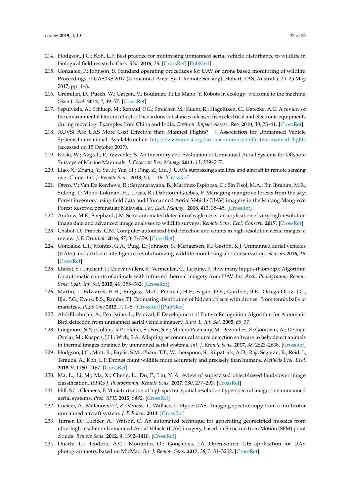- <span id="page-22-0"></span>214. Hodgson, J.C.; Koh, L.P. Best practice for minimising unmanned aerial vehicle disturbance to wildlife in biological field research. *Curr. Biol.* **2016**, *26*. [\[CrossRef\]](http://dx.doi.org/10.1016/j.cub.2016.04.001) [\[PubMed\]](http://www.ncbi.nlm.nih.gov/pubmed/27218843)
- <span id="page-22-1"></span>215. Gonzalez, F.; Johnson, S. Standard operating procedures for UAV or drone based monitoring of wildlife. Proceedings of UAS4RS 2017 (Unmanned Aircr. Syst. Remote Sensing), Hobart, TAS, Australia, 24–25 May 2017; pp. 1–8.
- <span id="page-22-2"></span>216. Grémillet, D.; Puech, W.; Garçon, V.; Boulinier, T.; Le Maho, Y. Robots in ecology: welcome to the machine. *Open J. Ecol.* **2012**, *2*, 49–57. [\[CrossRef\]](http://dx.doi.org/10.4236/oje.2012.22006)
- <span id="page-22-3"></span>217. Sepúlveda, A.; Schluep, M.; Renaud, F.G.; Streicher, M.; Kuehr, R.; Hagelüken, C.; Gerecke, A.C. A review of the environmental fate and effects of hazardous substances released from electrical and electronic equipments during recycling: Examples from China and India. *Environ. Impact Assess. Rev.* **2010**, *30*, 28–41. [\[CrossRef\]](http://dx.doi.org/10.1016/j.eiar.2009.04.001)
- <span id="page-22-4"></span>218. AUVSI Are UAS More Cost Effective than Manned Flights? | Association for Unmanned Vehicle Systems International. Available online: <http://www.auvsi.org/are-uas-more-cost-effective-manned-flights> (accessed on 15 October 2017).
- <span id="page-22-5"></span>219. Koski, W.; Abgrall, P.; Yazvenko, S. An Inventory and Evaluation of Unmanned Aerial Systems for Offshore Surveys of Marine Mammals. *J. Cetacean Res. Manag.* **2011**, *11*, 239–247.
- <span id="page-22-6"></span>220. Liao, X.; Zhang, Y.; Su, F.; Yue, H.; Ding, Z.; Liu, J. UAVs surpassing satellites and aircraft in remote sensing over China. *Int. J. Remote Sens.* **2018**, *00*, 1–16. [\[CrossRef\]](http://dx.doi.org/10.1080/01431161.2018.1515511)
- <span id="page-22-7"></span>221. Otero, V.; Van De Kerchove, R.; Satyanarayana, B.; Martínez-Espinosa, C.; Bin Fisol, M.A.; Bin Ibrahim, M.R.; Sulong, I.; Mohd-Lokman, H.; Lucas, R.; Dahdouh-Guebas, F. Managing mangrove forests from the sky: Forest inventory using field data and Unmanned Aerial Vehicle (UAV) imagery in the Matang Mangrove Forest Reserve, peninsular Malaysia. *For. Ecol. Manage.* **2018**, *411*, 35–45. [\[CrossRef\]](http://dx.doi.org/10.1016/j.foreco.2017.12.049)
- <span id="page-22-8"></span>222. Andrew, M.E.; Shephard, J.M. Semi-automated detection of eagle nests: an application of very high-resolution image data and advanced image analyses to wildlife surveys. *Remote Sens. Ecol. Conserv.* **2017**. [\[CrossRef\]](http://dx.doi.org/10.1002/rse2.38)
- 223. Chabot, D.; Francis, C.M. Computer-automated bird detection and counts in high-resolution aerial images: a review. *J. F. Ornithol.* **2016**, *87*, 343–359. [\[CrossRef\]](http://dx.doi.org/10.1111/jofo.12171)
- 224. Gonzalez, L.F.; Montes, G.A.; Puig, E.; Johnson, S.; Mengersen, K.; Gaston, K.J. Unmanned aerial vehicles (UAVs) and artificial intelligence revolutionizing wildlife monitoring and conservation. *Sensors* **2016**, *16*. [\[CrossRef\]](http://dx.doi.org/10.3390/s16010097)
- 225. Lhoest, S.; Linchant, J.; Quevauvillers, S.; Vermeulen, C.; Lejeune, P. How many hippos (Homhip): Algorithm for automatic counts of animals with infra-red thermal imagery from UAV. *Int. Arch. Photogramm. Remote Sens. Spat. Inf. Sci.* **2015**, *40*, 355–362. [\[CrossRef\]](http://dx.doi.org/10.5194/isprsarchives-XL-3-W3-355-2015)
- 226. Martin, J.; Edwards, H.H.; Burgess, M.A.; Percival, H.F.; Fagan, D.E.; Gardner, B.E.; Ortega-Ortiz, J.G.; Ifju, P.G.; Evers, B.S.; Rambo, T.J. Estimating distribution of hidden objects with drones: From tennis balls to manatees. *PLoS One* **2012**, *7*, 1–8. [\[CrossRef\]](http://dx.doi.org/10.1371/journal.pone.0038882) [\[PubMed\]](http://www.ncbi.nlm.nih.gov/pubmed/22761712)
- 227. Abd-Elrahman, A.; Pearlstine, L.; Percival, F. Development of Pattern Recognition Algorithm for Automatic Bird detection from unmanned aerial vehicle imagery. *Surv. L. Inf. Sci.* **2005**, *65*, 37.
- <span id="page-22-9"></span>228. Longmore, S.N.; Collins, R.P.; Pfeifer, S.; Fox, S.E.; Mulero-Pazmany, M.; Bezombes, F.; Goodwin, A.; De Juan Ovelar, M.; Knapen, J.H.; Wich, S.A. Adapting astronomical source detection software to help detect animals in thermal images obtained by unmanned aerial systems. *Int. J. Remote Sens.* **2017**, *38*, 2623–2638. [\[CrossRef\]](http://dx.doi.org/10.1080/01431161.2017.1280639)
- <span id="page-22-10"></span>229. Hodgson, J.C.; Mott, R.; Baylis, S.M.; Pham, T.T.; Wotherspoon, S.; Kilpatrick, A.D.; Raja Segaran, R.; Reid, I.; Terauds, A.; Koh, L.P. Drones count wildlife more accurately and precisely than humans. *Methods Ecol. Evol.* **2018**, *9*, 1160–1167. [\[CrossRef\]](http://dx.doi.org/10.1111/2041-210X.12974)
- <span id="page-22-11"></span>230. Ma, L.; Li, M.; Ma, X.; Cheng, L.; Du, P.; Liu, Y. A review of supervised object-based land-cover image classification. *ISPRS J. Photogramm. Remote Sens.* **2017**, *130*, 277–293. [\[CrossRef\]](http://dx.doi.org/10.1016/j.isprsjprs.2017.06.001)
- <span id="page-22-12"></span>231. Hill, S.L.; Clemens, P. Miniaturization of high spectral spatial resolution hyperspectral imagers on unmanned aerial systems. *Proc. SPIE* **2015**, *9482*. [\[CrossRef\]](http://dx.doi.org/10.1117/12.2193706)
- <span id="page-22-13"></span>232. Lucieer, A.; Malenovsk??, Z.; Veness, T.; Wallace, L. HyperUAS - Imaging spectroscopy from a multirotor unmanned aircraft system. *J. F. Robot.* **2014**. [\[CrossRef\]](http://dx.doi.org/10.1002/rob.21508)
- <span id="page-22-14"></span>233. Turner, D.; Lucieer, A.; Watson, C. An automated technique for generating georectified mosaics from ultra-high resolution Unmanned Aerial Vehicle (UAV) imagery, based on Structure from Motion (SFM) point clouds. *Remote Sens.* **2012**, *4*, 1392–1410. [\[CrossRef\]](http://dx.doi.org/10.3390/rs4051392)
- <span id="page-22-15"></span>234. Duarte, L.; Teodoro, A.C.; Moutinho, O.; Gonçalves, J.A. Open-source GIS application for UAV photogrammetry based on MicMac. *Int. J. Remote Sens.* **2017**, *38*, 3181–3202. [\[CrossRef\]](http://dx.doi.org/10.1080/01431161.2016.1259685)